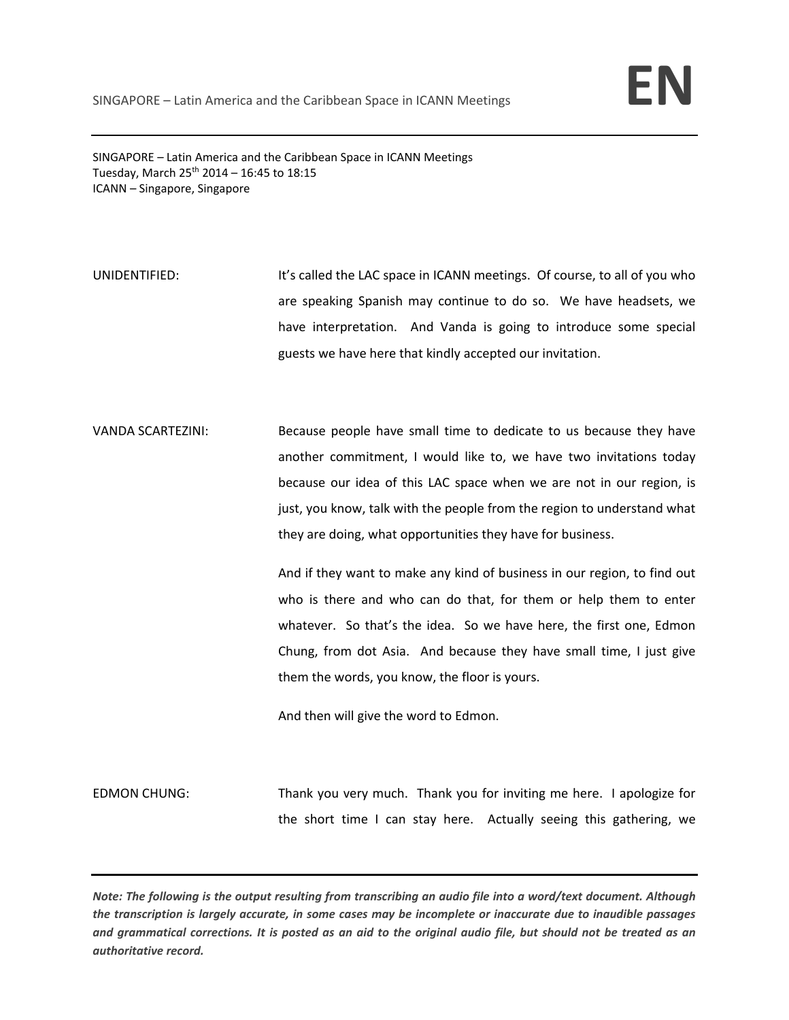SINGAPORE – Latin America and the Caribbean Space in ICANN Meetings Tuesday, March  $25^{th}$  2014 – 16:45 to 18:15 ICANN – Singapore, Singapore

- UNIDENTIFIED: It's called the LAC space in ICANN meetings. Of course, to all of you who are speaking Spanish may continue to do so. We have headsets, we have interpretation. And Vanda is going to introduce some special guests we have here that kindly accepted our invitation.
- VANDA SCARTEZINI: Because people have small time to dedicate to us because they have another commitment, I would like to, we have two invitations today because our idea of this LAC space when we are not in our region, is just, you know, talk with the people from the region to understand what they are doing, what opportunities they have for business.

And if they want to make any kind of business in our region, to find out who is there and who can do that, for them or help them to enter whatever. So that's the idea. So we have here, the first one, Edmon Chung, from dot Asia. And because they have small time, I just give them the words, you know, the floor is yours.

And then will give the word to Edmon.

EDMON CHUNG: Thank you very much. Thank you for inviting me here. I apologize for the short time I can stay here. Actually seeing this gathering, we

Note: The following is the output resulting from transcribing an audio file into a word/text document. Although the transcription is largely accurate, in some cases may be incomplete or inaccurate due to inaudible passages and grammatical corrections. It is posted as an aid to the original audio file, but should not be treated as an *authoritative record.*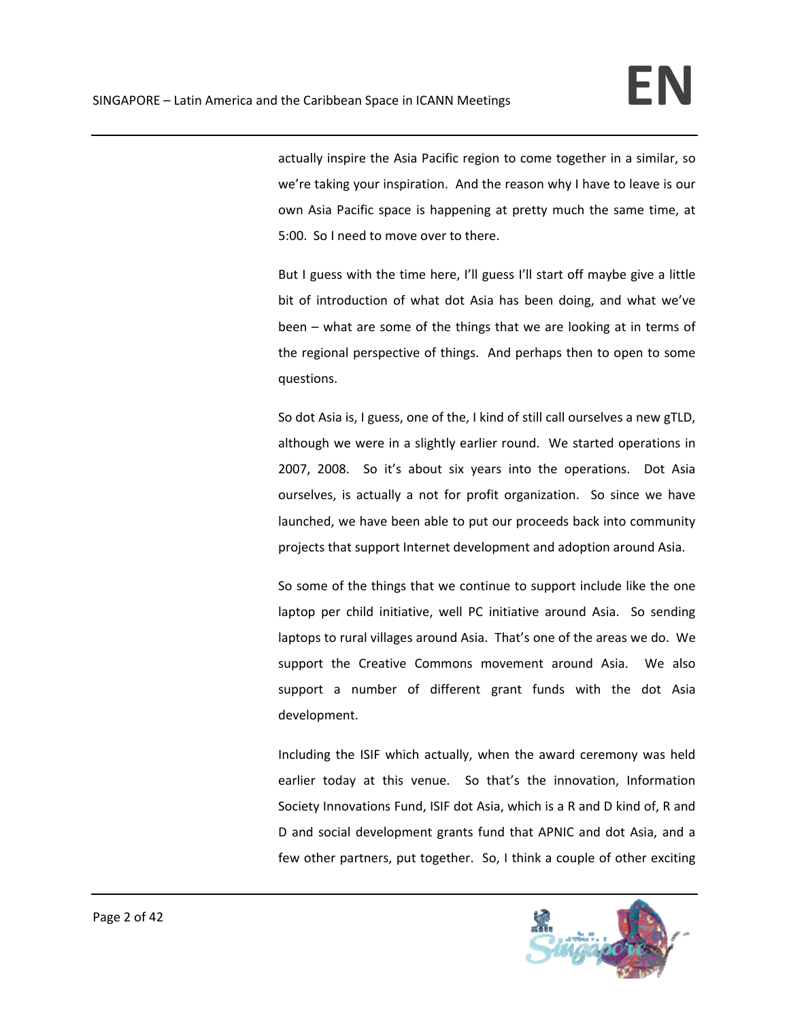actually inspire the Asia Pacific region to come together in a similar, so we're taking your inspiration. And the reason why I have to leave is our own Asia Pacific space is happening at pretty much the same time, at 5:00. So I need to move over to there.

But I guess with the time here, I'll guess I'll start off maybe give a little bit of introduction of what dot Asia has been doing, and what we've been – what are some of the things that we are looking at in terms of the regional perspective of things. And perhaps then to open to some questions.

So dot Asia is, I guess, one of the, I kind of still call ourselves a new gTLD, although we were in a slightly earlier round. We started operations in 2007, 2008. So it's about six years into the operations. Dot Asia ourselves, is actually a not for profit organization. So since we have launched, we have been able to put our proceeds back into community projects that support Internet development and adoption around Asia.

So some of the things that we continue to support include like the one laptop per child initiative, well PC initiative around Asia. So sending laptops to rural villages around Asia. That's one of the areas we do. We support the Creative Commons movement around Asia. We also support a number of different grant funds with the dot Asia development.

Including the ISIF which actually, when the award ceremony was held earlier today at this venue. So that's the innovation, Information Society Innovations Fund, ISIF dot Asia, which is a R and D kind of, R and D and social development grants fund that APNIC and dot Asia, and a few other partners, put together. So, I think a couple of other exciting

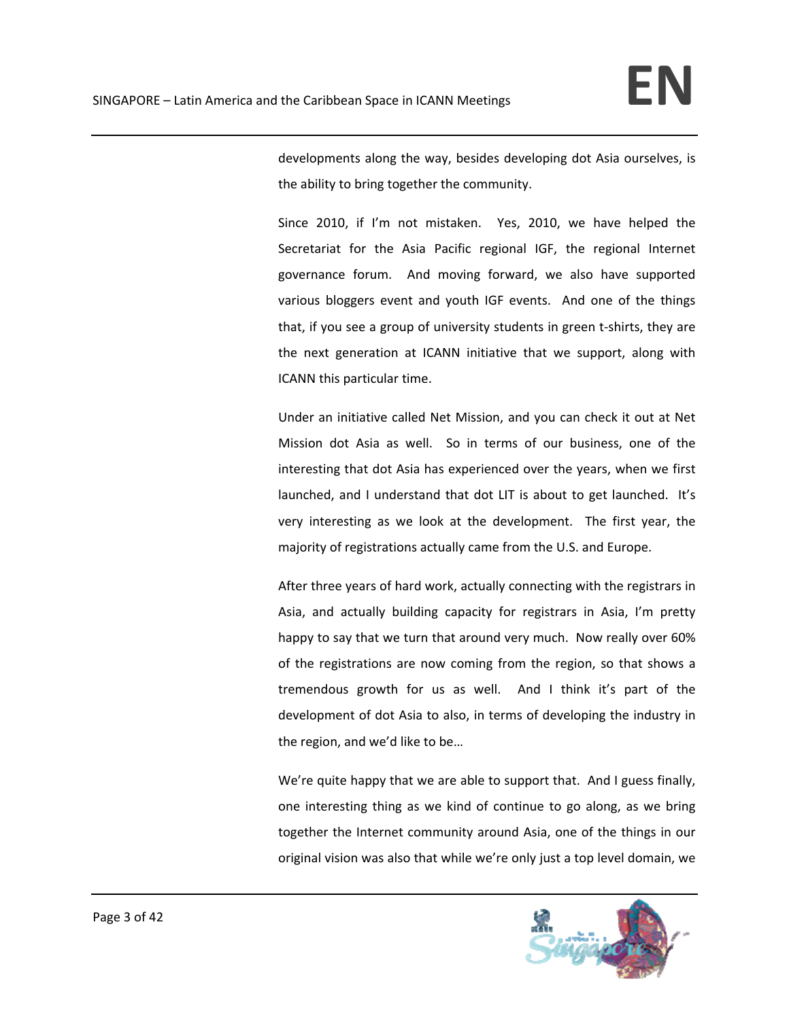developments along the way, besides developing dot Asia ourselves, is the ability to bring together the community.

Since 2010, if I'm not mistaken. Yes, 2010, we have helped the Secretariat for the Asia Pacific regional IGF, the regional Internet governance forum. And moving forward, we also have supported various bloggers event and youth IGF events. And one of the things that, if you see a group of university students in green t‐shirts, they are the next generation at ICANN initiative that we support, along with ICANN this particular time.

Under an initiative called Net Mission, and you can check it out at Net Mission dot Asia as well. So in terms of our business, one of the interesting that dot Asia has experienced over the years, when we first launched, and I understand that dot LIT is about to get launched. It's very interesting as we look at the development. The first year, the majority of registrations actually came from the U.S. and Europe.

After three years of hard work, actually connecting with the registrars in Asia, and actually building capacity for registrars in Asia, I'm pretty happy to say that we turn that around very much. Now really over 60% of the registrations are now coming from the region, so that shows a tremendous growth for us as well. And I think it's part of the development of dot Asia to also, in terms of developing the industry in the region, and we'd like to be…

We're quite happy that we are able to support that. And I guess finally, one interesting thing as we kind of continue to go along, as we bring together the Internet community around Asia, one of the things in our original vision was also that while we're only just a top level domain, we

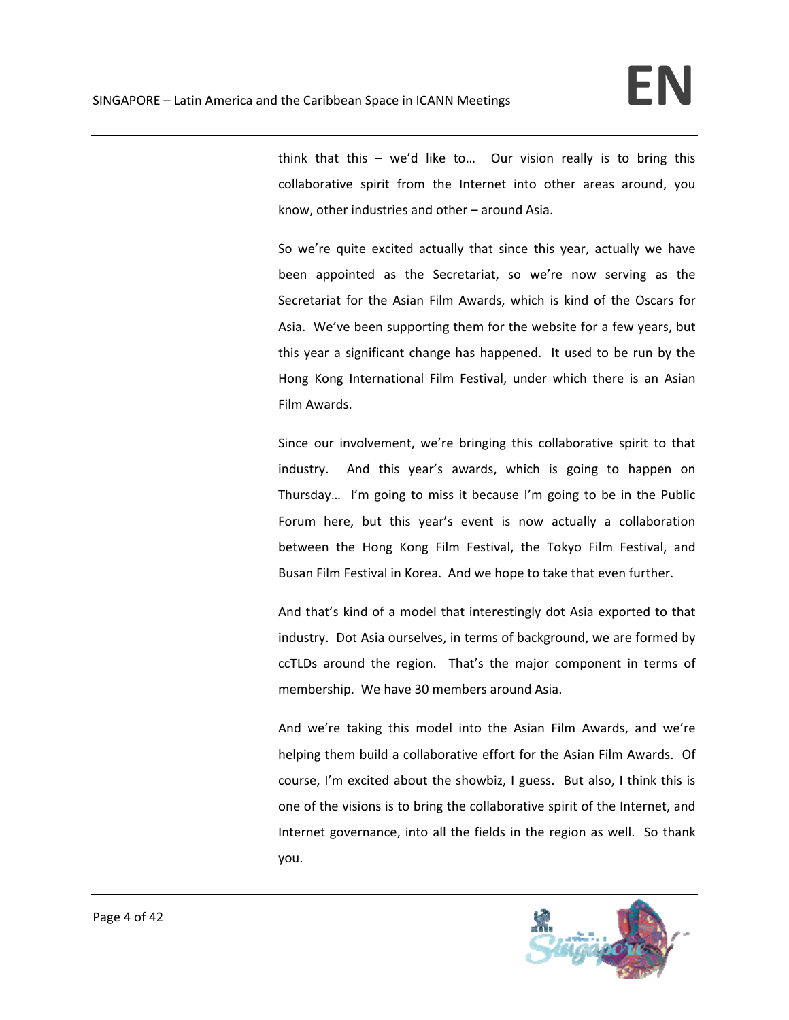think that this – we'd like to... Our vision really is to bring this collaborative spirit from the Internet into other areas around, you know, other industries and other – around Asia.

So we're quite excited actually that since this year, actually we have been appointed as the Secretariat, so we're now serving as the Secretariat for the Asian Film Awards, which is kind of the Oscars for Asia. We've been supporting them for the website for a few years, but this year a significant change has happened. It used to be run by the Hong Kong International Film Festival, under which there is an Asian Film Awards.

Since our involvement, we're bringing this collaborative spirit to that industry. And this year's awards, which is going to happen on Thursday... I'm going to miss it because I'm going to be in the Public Forum here, but this year's event is now actually a collaboration between the Hong Kong Film Festival, the Tokyo Film Festival, and Busan Film Festival in Korea. And we hope to take that even further.

And that's kind of a model that interestingly dot Asia exported to that industry. Dot Asia ourselves, in terms of background, we are formed by ccTLDs around the region. That's the major component in terms of membership. We have 30 members around Asia.

And we're taking this model into the Asian Film Awards, and we're helping them build a collaborative effort for the Asian Film Awards. Of course, I'm excited about the showbiz, I guess. But also, I think this is one of the visions is to bring the collaborative spirit of the Internet, and Internet governance, into all the fields in the region as well. So thank you.

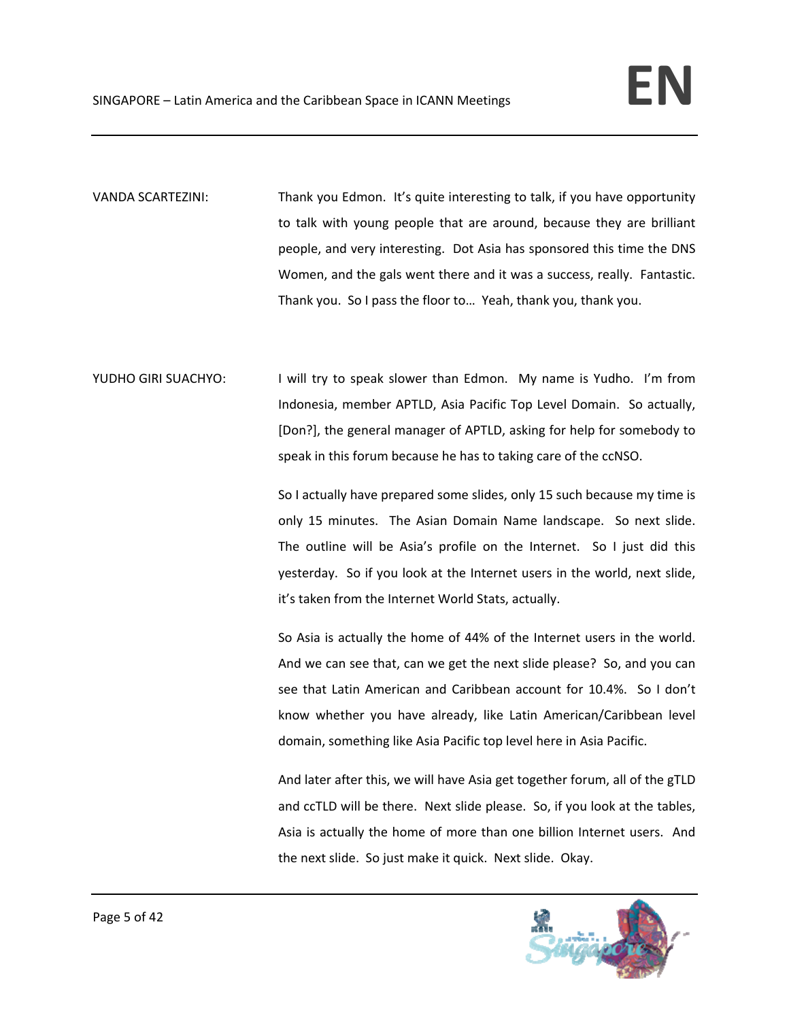- VANDA SCARTEZINI: Thank you Edmon. It's quite interesting to talk, if you have opportunity to talk with young people that are around, because they are brilliant people, and very interesting. Dot Asia has sponsored this time the DNS Women, and the gals went there and it was a success, really. Fantastic. Thank you. So I pass the floor to… Yeah, thank you, thank you.
- YUDHO GIRI SUACHYO: I will try to speak slower than Edmon. My name is Yudho. I'm from Indonesia, member APTLD, Asia Pacific Top Level Domain. So actually, [Don?], the general manager of APTLD, asking for help for somebody to speak in this forum because he has to taking care of the ccNSO.

So I actually have prepared some slides, only 15 such because my time is only 15 minutes. The Asian Domain Name landscape. So next slide. The outline will be Asia's profile on the Internet. So I just did this yesterday. So if you look at the Internet users in the world, next slide, it's taken from the Internet World Stats, actually.

So Asia is actually the home of 44% of the Internet users in the world. And we can see that, can we get the next slide please? So, and you can see that Latin American and Caribbean account for 10.4%. So I don't know whether you have already, like Latin American/Caribbean level domain, something like Asia Pacific top level here in Asia Pacific.

And later after this, we will have Asia get together forum, all of the gTLD and ccTLD will be there. Next slide please. So, if you look at the tables, Asia is actually the home of more than one billion Internet users. And the next slide. So just make it quick. Next slide. Okay.

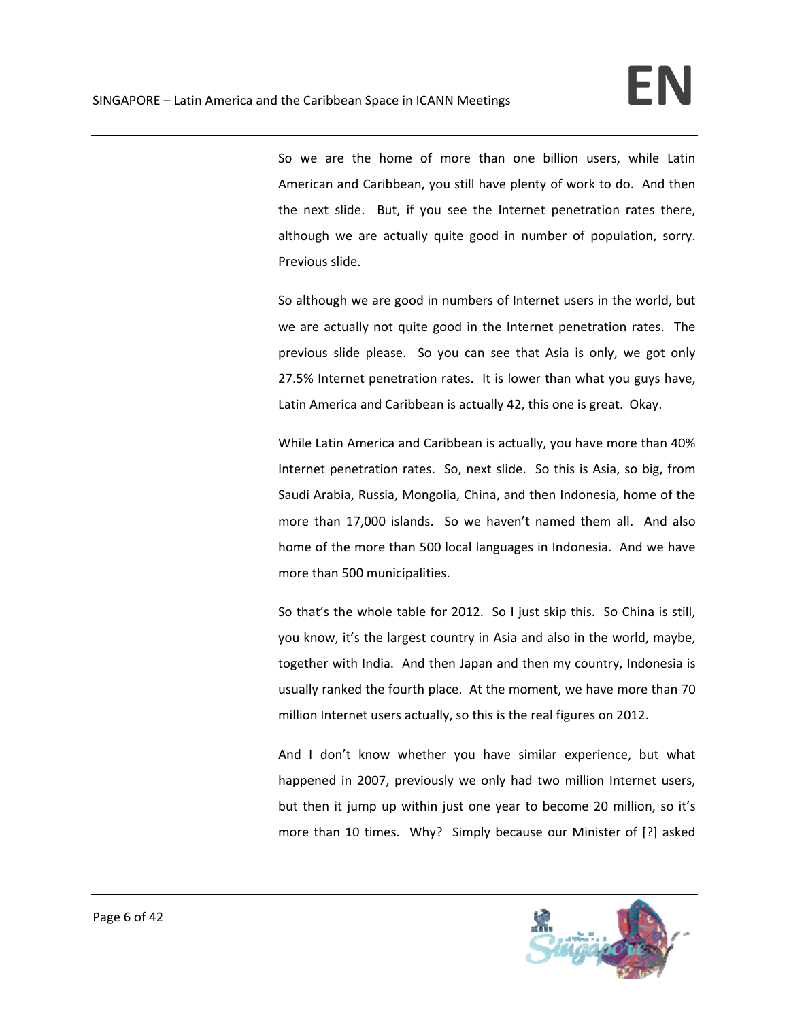So we are the home of more than one billion users, while Latin American and Caribbean, you still have plenty of work to do. And then the next slide. But, if you see the Internet penetration rates there, although we are actually quite good in number of population, sorry. Previous slide.

So although we are good in numbers of Internet users in the world, but we are actually not quite good in the Internet penetration rates. The previous slide please. So you can see that Asia is only, we got only 27.5% Internet penetration rates. It is lower than what you guys have, Latin America and Caribbean is actually 42, this one is great. Okay.

While Latin America and Caribbean is actually, you have more than 40% Internet penetration rates. So, next slide. So this is Asia, so big, from Saudi Arabia, Russia, Mongolia, China, and then Indonesia, home of the more than 17,000 islands. So we haven't named them all. And also home of the more than 500 local languages in Indonesia. And we have more than 500 municipalities.

So that's the whole table for 2012. So I just skip this. So China is still, you know, it's the largest country in Asia and also in the world, maybe, together with India. And then Japan and then my country, Indonesia is usually ranked the fourth place. At the moment, we have more than 70 million Internet users actually, so this is the real figures on 2012.

And I don't know whether you have similar experience, but what happened in 2007, previously we only had two million Internet users, but then it jump up within just one year to become 20 million, so it's more than 10 times. Why? Simply because our Minister of [?] asked

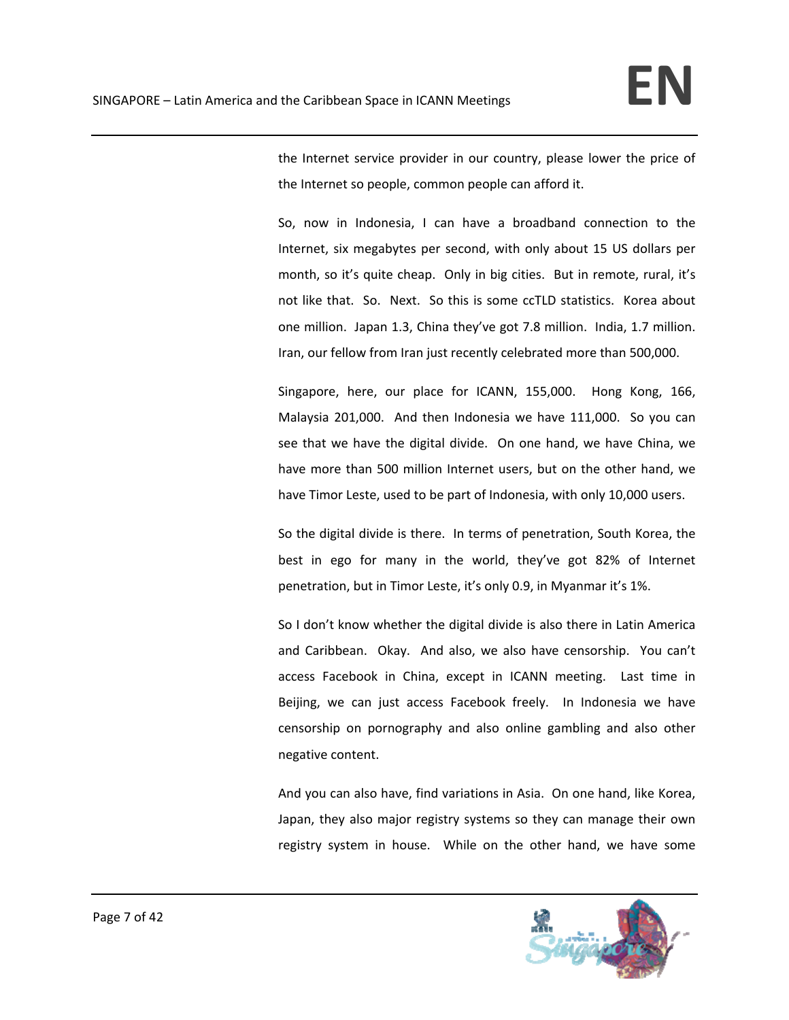the Internet service provider in our country, please lower the price of the Internet so people, common people can afford it.

So, now in Indonesia, I can have a broadband connection to the Internet, six megabytes per second, with only about 15 US dollars per month, so it's quite cheap. Only in big cities. But in remote, rural, it's not like that. So. Next. So this is some ccTLD statistics. Korea about one million. Japan 1.3, China they've got 7.8 million. India, 1.7 million. Iran, our fellow from Iran just recently celebrated more than 500,000.

Singapore, here, our place for ICANN, 155,000. Hong Kong, 166, Malaysia 201,000. And then Indonesia we have 111,000. So you can see that we have the digital divide. On one hand, we have China, we have more than 500 million Internet users, but on the other hand, we have Timor Leste, used to be part of Indonesia, with only 10,000 users.

So the digital divide is there. In terms of penetration, South Korea, the best in ego for many in the world, they've got 82% of Internet penetration, but in Timor Leste, it's only 0.9, in Myanmar it's 1%.

So I don't know whether the digital divide is also there in Latin America and Caribbean. Okay. And also, we also have censorship. You can't access Facebook in China, except in ICANN meeting. Last time in Beijing, we can just access Facebook freely. In Indonesia we have censorship on pornography and also online gambling and also other negative content.

And you can also have, find variations in Asia. On one hand, like Korea, Japan, they also major registry systems so they can manage their own registry system in house. While on the other hand, we have some

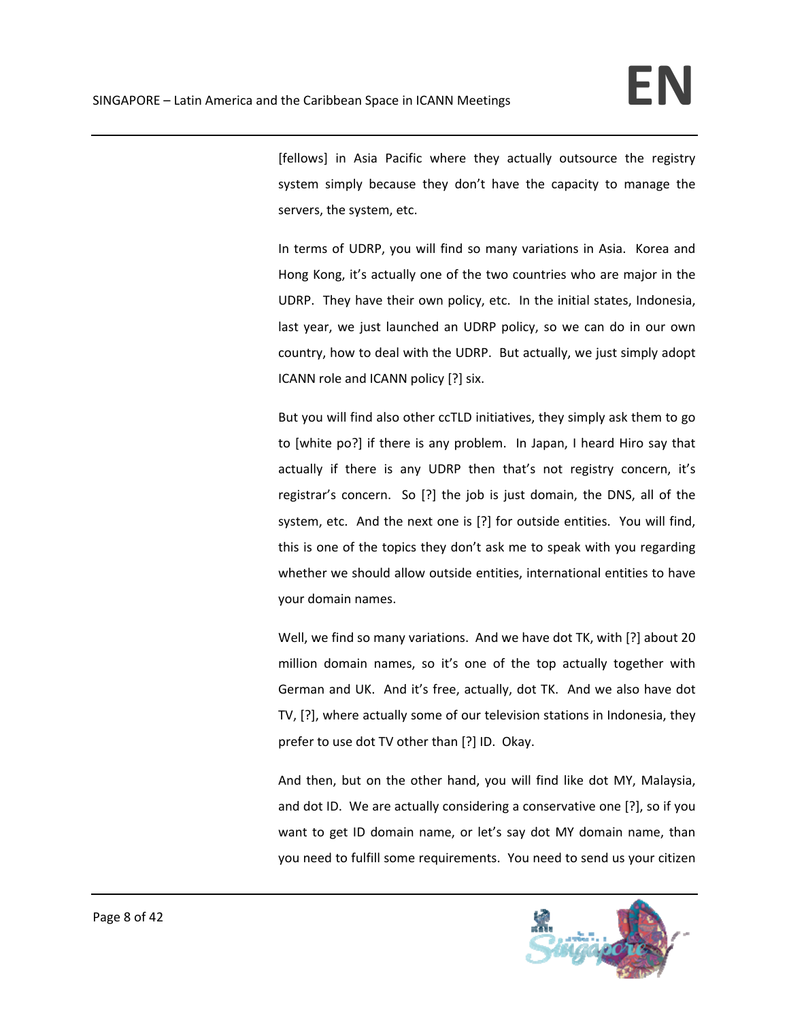[fellows] in Asia Pacific where they actually outsource the registry system simply because they don't have the capacity to manage the servers, the system, etc.

In terms of UDRP, you will find so many variations in Asia. Korea and Hong Kong, it's actually one of the two countries who are major in the UDRP. They have their own policy, etc. In the initial states, Indonesia, last year, we just launched an UDRP policy, so we can do in our own country, how to deal with the UDRP. But actually, we just simply adopt ICANN role and ICANN policy [?] six.

But you will find also other ccTLD initiatives, they simply ask them to go to [white po?] if there is any problem. In Japan, I heard Hiro say that actually if there is any UDRP then that's not registry concern, it's registrar's concern. So [?] the job is just domain, the DNS, all of the system, etc. And the next one is [?] for outside entities. You will find, this is one of the topics they don't ask me to speak with you regarding whether we should allow outside entities, international entities to have your domain names.

Well, we find so many variations. And we have dot TK, with [?] about 20 million domain names, so it's one of the top actually together with German and UK. And it's free, actually, dot TK. And we also have dot TV, [?], where actually some of our television stations in Indonesia, they prefer to use dot TV other than [?] ID. Okay.

And then, but on the other hand, you will find like dot MY, Malaysia, and dot ID. We are actually considering a conservative one [?], so if you want to get ID domain name, or let's say dot MY domain name, than you need to fulfill some requirements. You need to send us your citizen

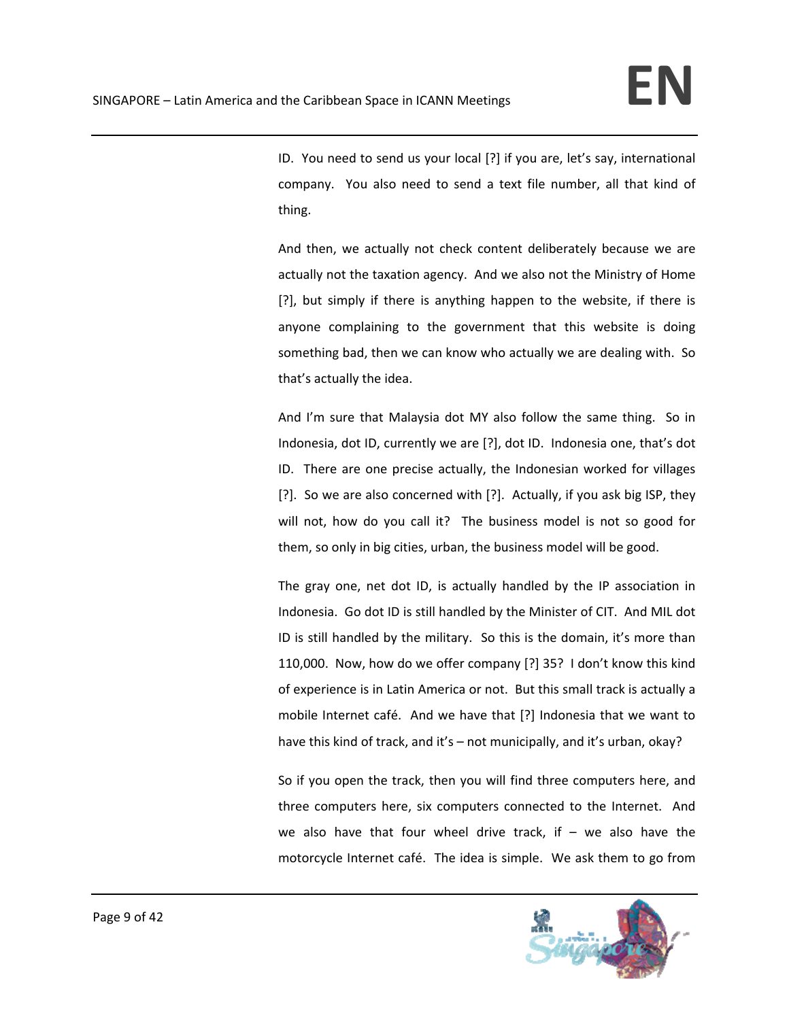ID. You need to send us your local [?] if you are, let's say, international company. You also need to send a text file number, all that kind of thing.

And then, we actually not check content deliberately because we are actually not the taxation agency. And we also not the Ministry of Home [?], but simply if there is anything happen to the website, if there is anyone complaining to the government that this website is doing something bad, then we can know who actually we are dealing with. So that's actually the idea.

And I'm sure that Malaysia dot MY also follow the same thing. So in Indonesia, dot ID, currently we are [?], dot ID. Indonesia one, that's dot ID. There are one precise actually, the Indonesian worked for villages [?]. So we are also concerned with [?]. Actually, if you ask big ISP, they will not, how do you call it? The business model is not so good for them, so only in big cities, urban, the business model will be good.

The gray one, net dot ID, is actually handled by the IP association in Indonesia. Go dot ID is still handled by the Minister of CIT. And MIL dot ID is still handled by the military. So this is the domain, it's more than 110,000. Now, how do we offer company [?] 35? I don't know this kind of experience is in Latin America or not. But this small track is actually a mobile Internet café. And we have that [?] Indonesia that we want to have this kind of track, and it's – not municipally, and it's urban, okay?

So if you open the track, then you will find three computers here, and three computers here, six computers connected to the Internet. And we also have that four wheel drive track, if  $-$  we also have the motorcycle Internet café. The idea is simple. We ask them to go from

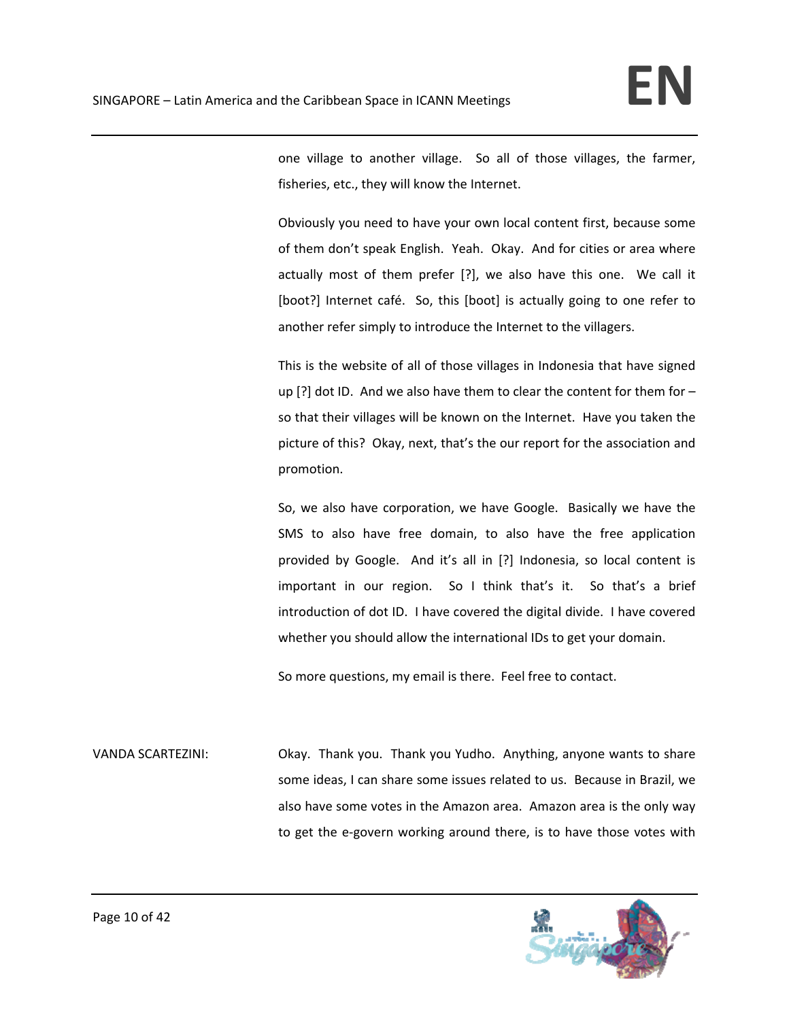one village to another village. So all of those villages, the farmer, fisheries, etc., they will know the Internet.

Obviously you need to have your own local content first, because some of them don't speak English. Yeah. Okay. And for cities or area where actually most of them prefer [?], we also have this one. We call it [boot?] Internet café. So, this [boot] is actually going to one refer to another refer simply to introduce the Internet to the villagers.

This is the website of all of those villages in Indonesia that have signed up  $[?]$  dot ID. And we also have them to clear the content for them for  $$ so that their villages will be known on the Internet. Have you taken the picture of this? Okay, next, that's the our report for the association and promotion.

So, we also have corporation, we have Google. Basically we have the SMS to also have free domain, to also have the free application provided by Google. And it's all in [?] Indonesia, so local content is important in our region. So I think that's it. So that's a brief introduction of dot ID. I have covered the digital divide. I have covered whether you should allow the international IDs to get your domain.

So more questions, my email is there. Feel free to contact.

VANDA SCARTEZINI: Okay. Thank you. Thank you Yudho. Anything, anyone wants to share some ideas, I can share some issues related to us. Because in Brazil, we also have some votes in the Amazon area. Amazon area is the only way to get the e‐govern working around there, is to have those votes with

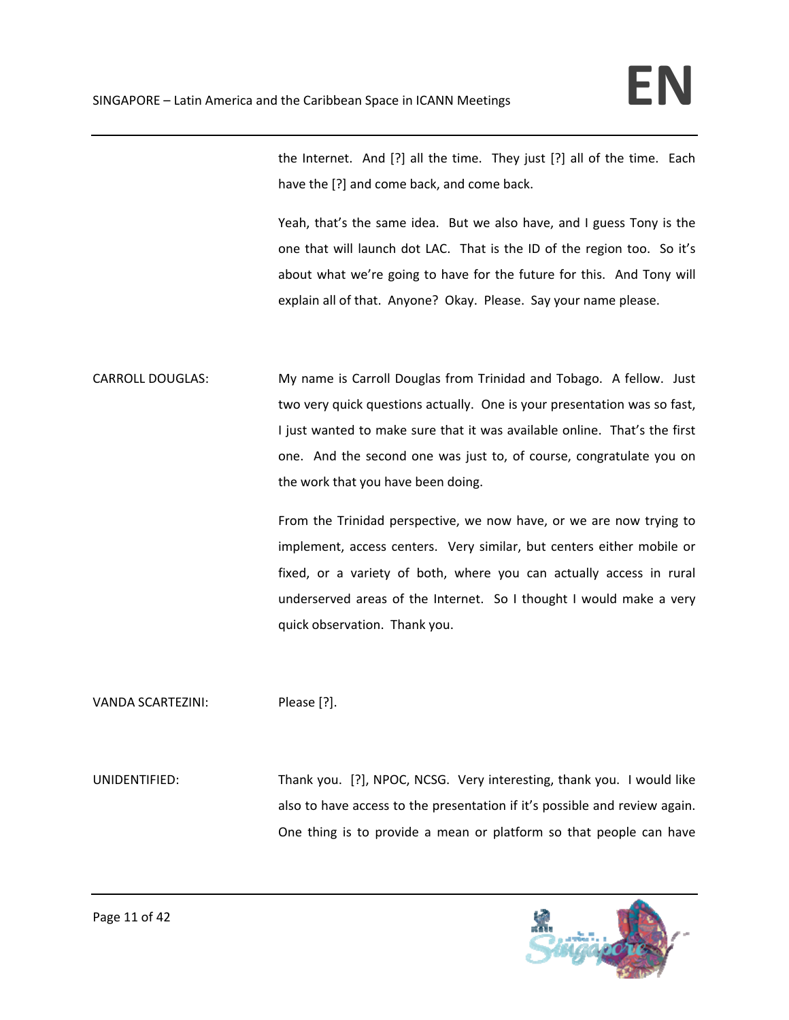the Internet. And [?] all the time. They just [?] all of the time. Each have the [?] and come back, and come back.

Yeah, that's the same idea. But we also have, and I guess Tony is the one that will launch dot LAC. That is the ID of the region too. So it's about what we're going to have for the future for this. And Tony will explain all of that. Anyone? Okay. Please. Say your name please.

CARROLL DOUGLAS: My name is Carroll Douglas from Trinidad and Tobago. A fellow. Just two very quick questions actually. One is your presentation was so fast, I just wanted to make sure that it was available online. That's the first one. And the second one was just to, of course, congratulate you on the work that you have been doing.

> From the Trinidad perspective, we now have, or we are now trying to implement, access centers. Very similar, but centers either mobile or fixed, or a variety of both, where you can actually access in rural underserved areas of the Internet. So I thought I would make a very quick observation. Thank you.

VANDA SCARTEZINI: Please [?].

UNIDENTIFIED: Thank you. [?], NPOC, NCSG. Very interesting, thank you. I would like also to have access to the presentation if it's possible and review again. One thing is to provide a mean or platform so that people can have

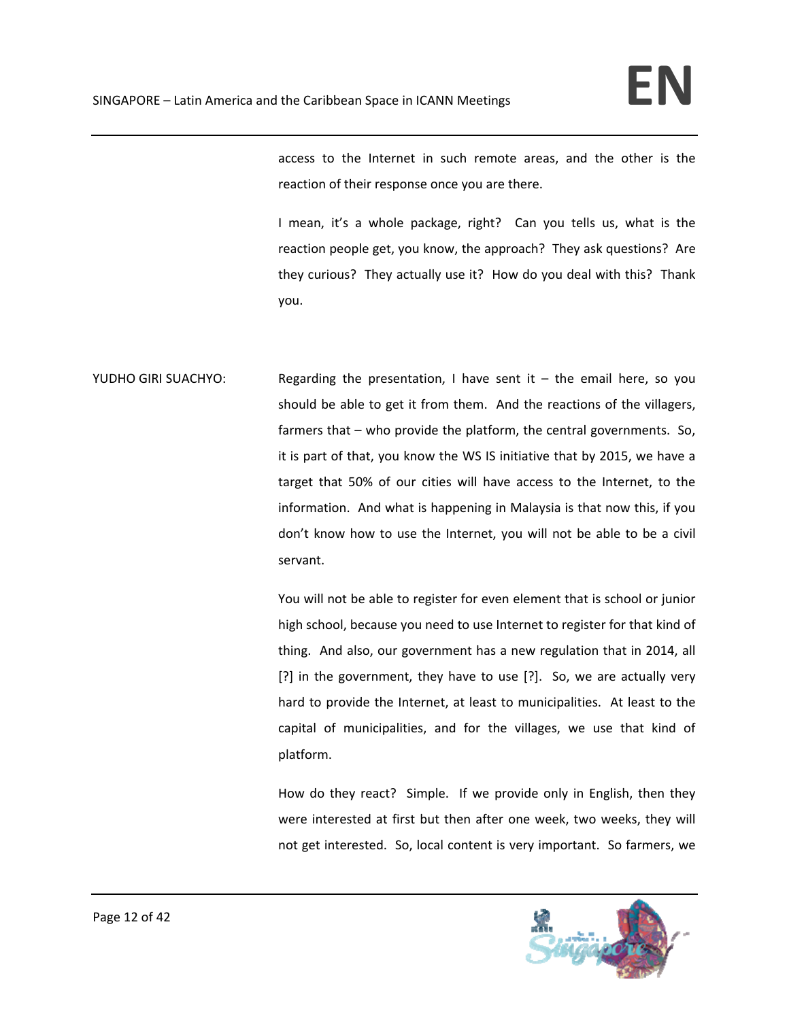access to the Internet in such remote areas, and the other is the reaction of their response once you are there.

I mean, it's a whole package, right? Can you tells us, what is the reaction people get, you know, the approach? They ask questions? Are they curious? They actually use it? How do you deal with this? Thank you.

YUDHO GIRI SUACHYO: Regarding the presentation, I have sent it  $-$  the email here, so you should be able to get it from them. And the reactions of the villagers, farmers that – who provide the platform, the central governments. So, it is part of that, you know the WS IS initiative that by 2015, we have a target that 50% of our cities will have access to the Internet, to the information. And what is happening in Malaysia is that now this, if you don't know how to use the Internet, you will not be able to be a civil servant.

> You will not be able to register for even element that is school or junior high school, because you need to use Internet to register for that kind of thing. And also, our government has a new regulation that in 2014, all [?] in the government, they have to use [?]. So, we are actually very hard to provide the Internet, at least to municipalities. At least to the capital of municipalities, and for the villages, we use that kind of platform.

> How do they react? Simple. If we provide only in English, then they were interested at first but then after one week, two weeks, they will not get interested. So, local content is very important. So farmers, we

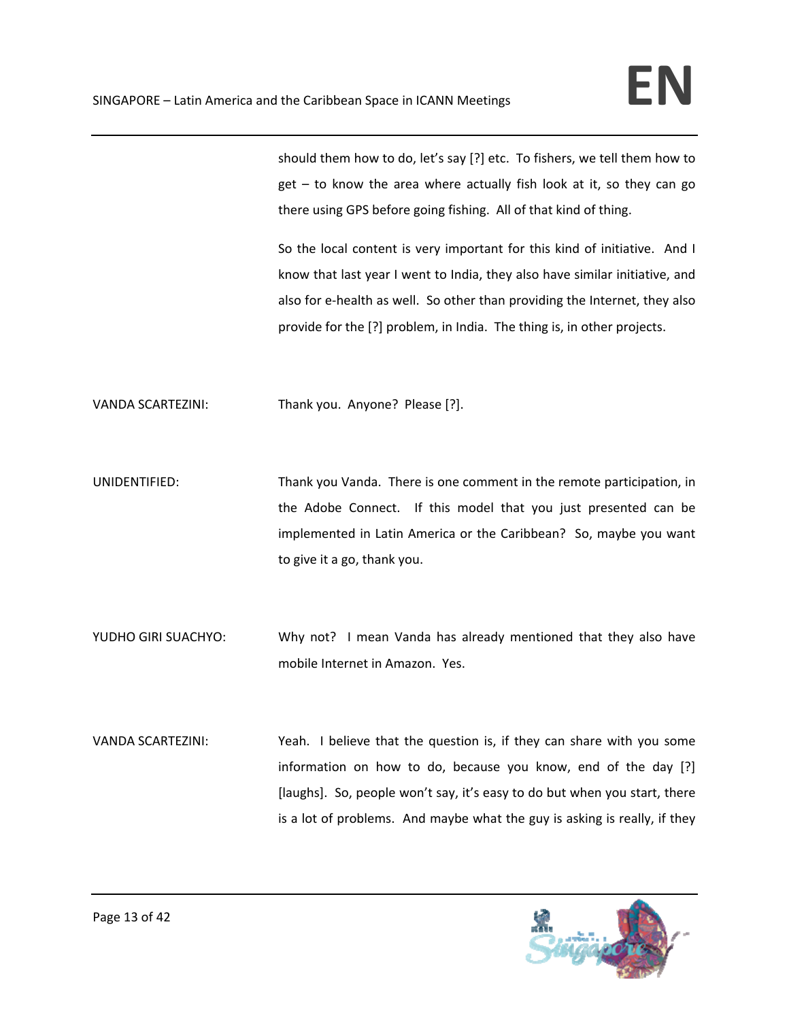should them how to do, let's say [?] etc. To fishers, we tell them how to get – to know the area where actually fish look at it, so they can go there using GPS before going fishing. All of that kind of thing.

So the local content is very important for this kind of initiative. And I know that last year I went to India, they also have similar initiative, and also for e‐health as well. So other than providing the Internet, they also provide for the [?] problem, in India. The thing is, in other projects.

VANDA SCARTEZINI: Thank you. Anyone? Please [?].

- UNIDENTIFIED: Thank you Vanda. There is one comment in the remote participation, in the Adobe Connect. If this model that you just presented can be implemented in Latin America or the Caribbean? So, maybe you want to give it a go, thank you.
- YUDHO GIRI SUACHYO: Why not? I mean Vanda has already mentioned that they also have mobile Internet in Amazon. Yes.
- VANDA SCARTEZINI: Yeah. I believe that the question is, if they can share with you some information on how to do, because you know, end of the day [?] [laughs]. So, people won't say, it's easy to do but when you start, there is a lot of problems. And maybe what the guy is asking is really, if they

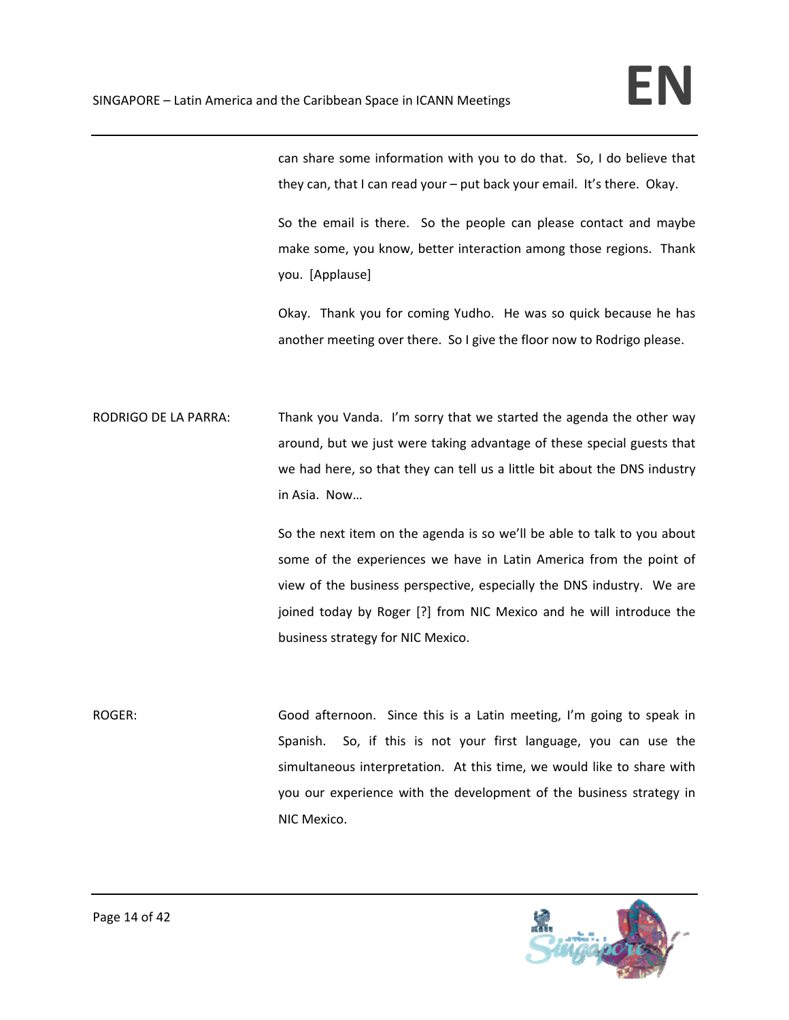can share some information with you to do that. So, I do believe that they can, that I can read your – put back your email. It's there. Okay.

So the email is there. So the people can please contact and maybe make some, you know, better interaction among those regions. Thank you. [Applause]

Okay. Thank you for coming Yudho. He was so quick because he has another meeting over there. So I give the floor now to Rodrigo please.

RODRIGO DE LA PARRA: Thank you Vanda. I'm sorry that we started the agenda the other way around, but we just were taking advantage of these special guests that we had here, so that they can tell us a little bit about the DNS industry in Asia. Now…

> So the next item on the agenda is so we'll be able to talk to you about some of the experiences we have in Latin America from the point of view of the business perspective, especially the DNS industry. We are joined today by Roger [?] from NIC Mexico and he will introduce the business strategy for NIC Mexico.

ROGER: Good afternoon. Since this is a Latin meeting, I'm going to speak in Spanish. So, if this is not your first language, you can use the simultaneous interpretation. At this time, we would like to share with you our experience with the development of the business strategy in NIC Mexico.

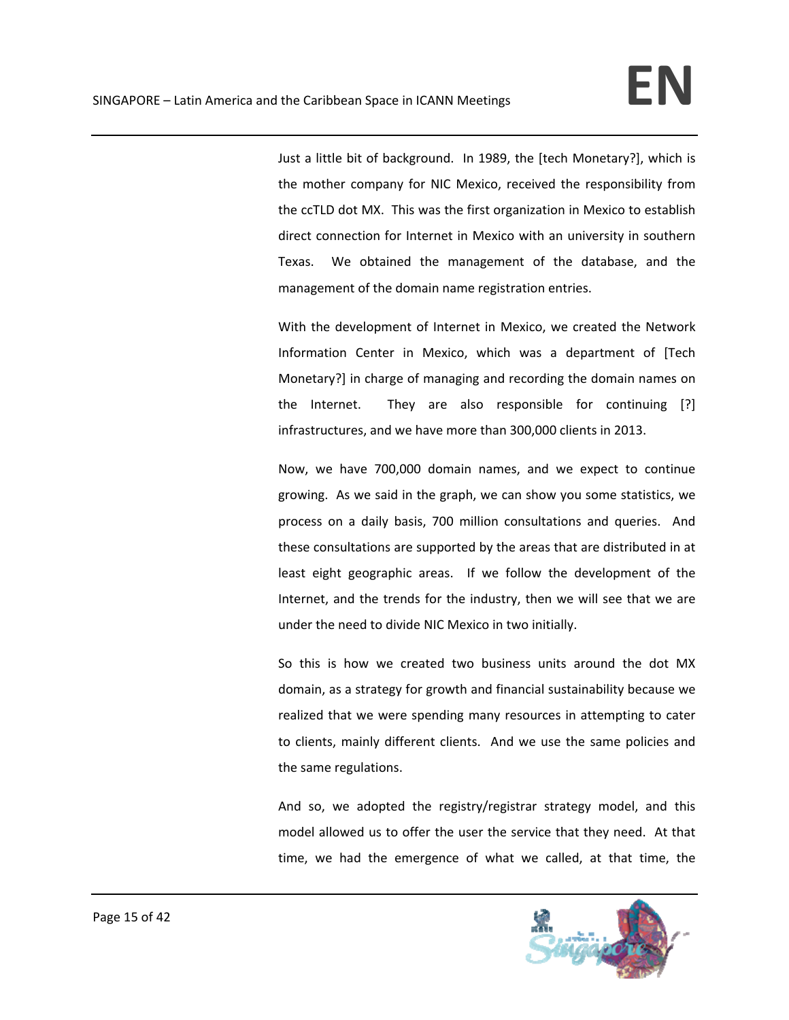Just a little bit of background. In 1989, the [tech Monetary?], which is the mother company for NIC Mexico, received the responsibility from the ccTLD dot MX. This was the first organization in Mexico to establish direct connection for Internet in Mexico with an university in southern Texas. We obtained the management of the database, and the management of the domain name registration entries.

With the development of Internet in Mexico, we created the Network Information Center in Mexico, which was a department of [Tech Monetary?] in charge of managing and recording the domain names on the Internet. They are also responsible for continuing [?] infrastructures, and we have more than 300,000 clients in 2013.

Now, we have 700,000 domain names, and we expect to continue growing. As we said in the graph, we can show you some statistics, we process on a daily basis, 700 million consultations and queries. And these consultations are supported by the areas that are distributed in at least eight geographic areas. If we follow the development of the Internet, and the trends for the industry, then we will see that we are under the need to divide NIC Mexico in two initially.

So this is how we created two business units around the dot MX domain, as a strategy for growth and financial sustainability because we realized that we were spending many resources in attempting to cater to clients, mainly different clients. And we use the same policies and the same regulations.

And so, we adopted the registry/registrar strategy model, and this model allowed us to offer the user the service that they need. At that time, we had the emergence of what we called, at that time, the

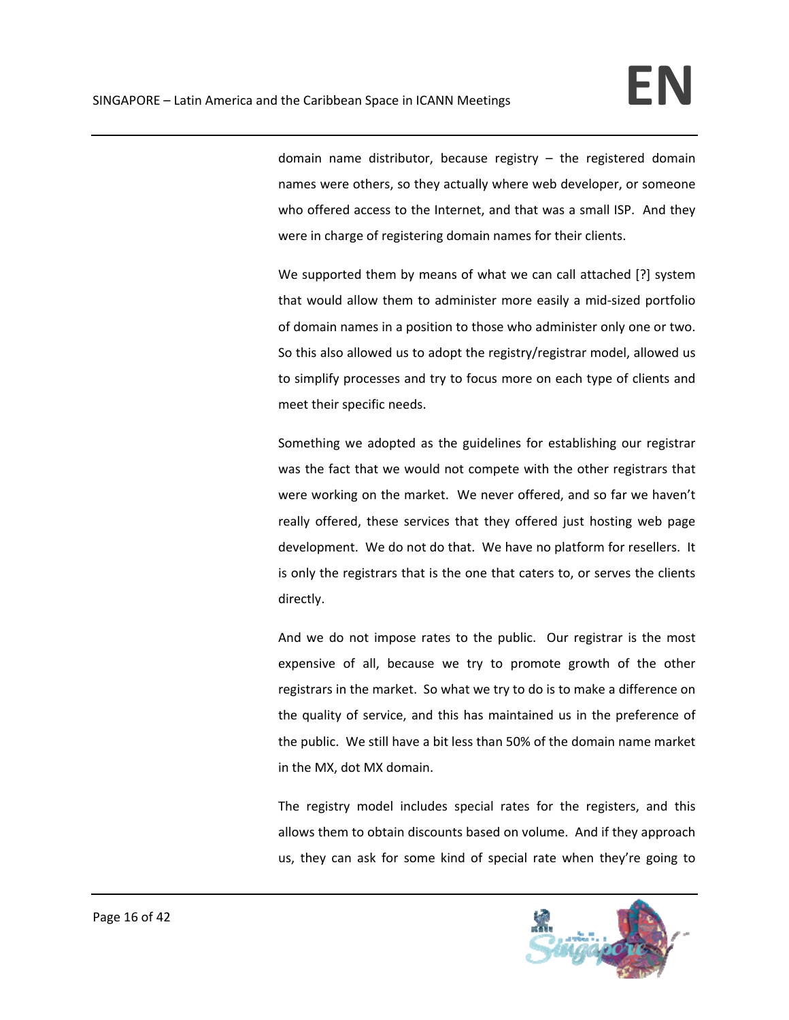domain name distributor, because registry  $-$  the registered domain names were others, so they actually where web developer, or someone who offered access to the Internet, and that was a small ISP. And they were in charge of registering domain names for their clients.

We supported them by means of what we can call attached [?] system that would allow them to administer more easily a mid‐sized portfolio of domain names in a position to those who administer only one or two. So this also allowed us to adopt the registry/registrar model, allowed us to simplify processes and try to focus more on each type of clients and meet their specific needs.

Something we adopted as the guidelines for establishing our registrar was the fact that we would not compete with the other registrars that were working on the market. We never offered, and so far we haven't really offered, these services that they offered just hosting web page development. We do not do that. We have no platform for resellers. It is only the registrars that is the one that caters to, or serves the clients directly.

And we do not impose rates to the public. Our registrar is the most expensive of all, because we try to promote growth of the other registrars in the market. So what we try to do is to make a difference on the quality of service, and this has maintained us in the preference of the public. We still have a bit less than 50% of the domain name market in the MX, dot MX domain.

The registry model includes special rates for the registers, and this allows them to obtain discounts based on volume. And if they approach us, they can ask for some kind of special rate when they're going to

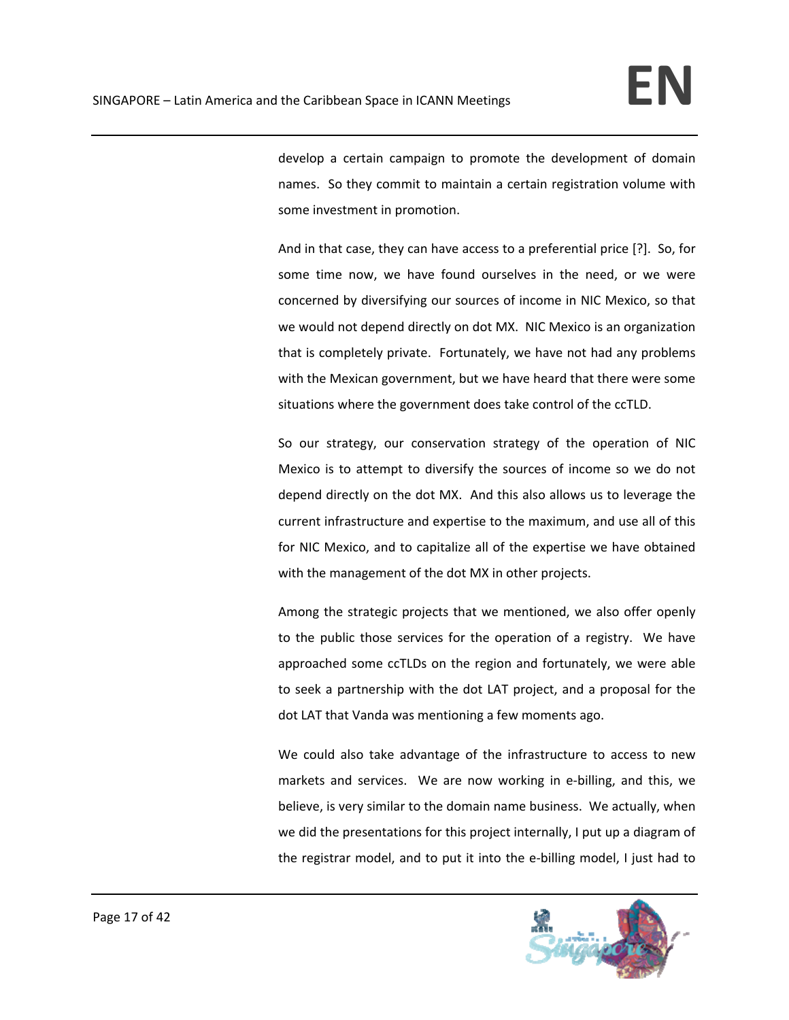develop a certain campaign to promote the development of domain names. So they commit to maintain a certain registration volume with some investment in promotion.

And in that case, they can have access to a preferential price [?]. So, for some time now, we have found ourselves in the need, or we were concerned by diversifying our sources of income in NIC Mexico, so that we would not depend directly on dot MX. NIC Mexico is an organization that is completely private. Fortunately, we have not had any problems with the Mexican government, but we have heard that there were some situations where the government does take control of the ccTLD.

So our strategy, our conservation strategy of the operation of NIC Mexico is to attempt to diversify the sources of income so we do not depend directly on the dot MX. And this also allows us to leverage the current infrastructure and expertise to the maximum, and use all of this for NIC Mexico, and to capitalize all of the expertise we have obtained with the management of the dot MX in other projects.

Among the strategic projects that we mentioned, we also offer openly to the public those services for the operation of a registry. We have approached some ccTLDs on the region and fortunately, we were able to seek a partnership with the dot LAT project, and a proposal for the dot LAT that Vanda was mentioning a few moments ago.

We could also take advantage of the infrastructure to access to new markets and services. We are now working in e-billing, and this, we believe, is very similar to the domain name business. We actually, when we did the presentations for this project internally, I put up a diagram of the registrar model, and to put it into the e‐billing model, I just had to

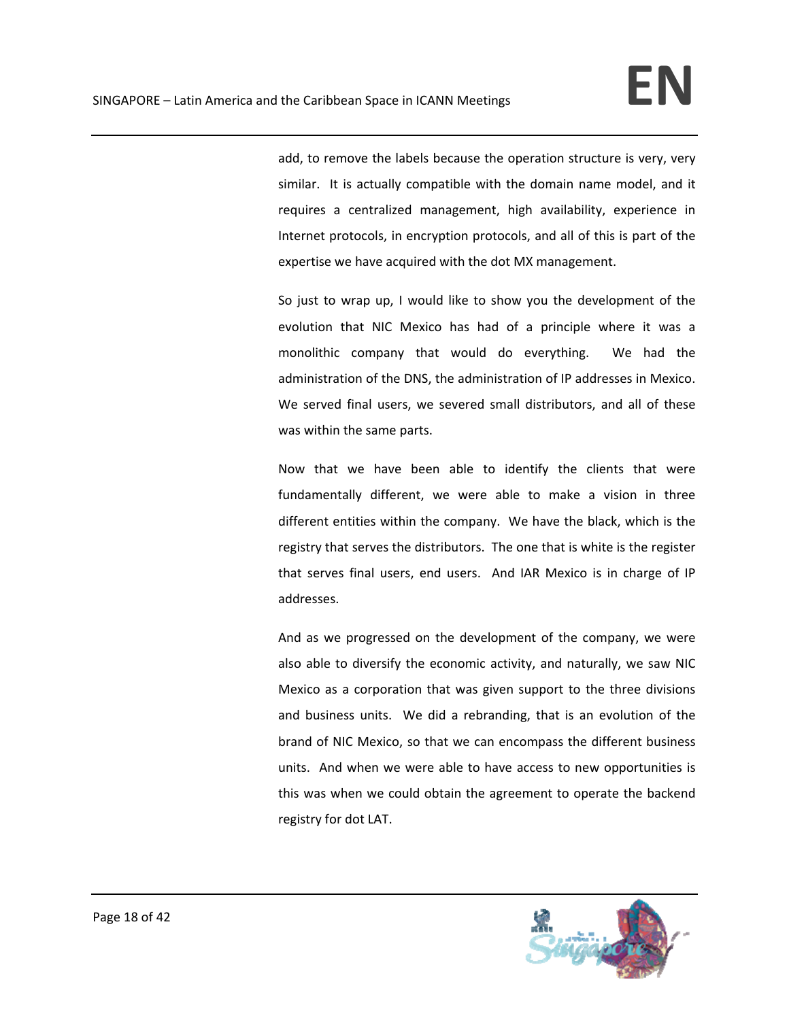add, to remove the labels because the operation structure is very, very similar. It is actually compatible with the domain name model, and it requires a centralized management, high availability, experience in Internet protocols, in encryption protocols, and all of this is part of the expertise we have acquired with the dot MX management.

So just to wrap up, I would like to show you the development of the evolution that NIC Mexico has had of a principle where it was a monolithic company that would do everything. We had the administration of the DNS, the administration of IP addresses in Mexico. We served final users, we severed small distributors, and all of these was within the same parts.

Now that we have been able to identify the clients that were fundamentally different, we were able to make a vision in three different entities within the company. We have the black, which is the registry that serves the distributors. The one that is white is the register that serves final users, end users. And IAR Mexico is in charge of IP addresses.

And as we progressed on the development of the company, we were also able to diversify the economic activity, and naturally, we saw NIC Mexico as a corporation that was given support to the three divisions and business units. We did a rebranding, that is an evolution of the brand of NIC Mexico, so that we can encompass the different business units. And when we were able to have access to new opportunities is this was when we could obtain the agreement to operate the backend registry for dot LAT.

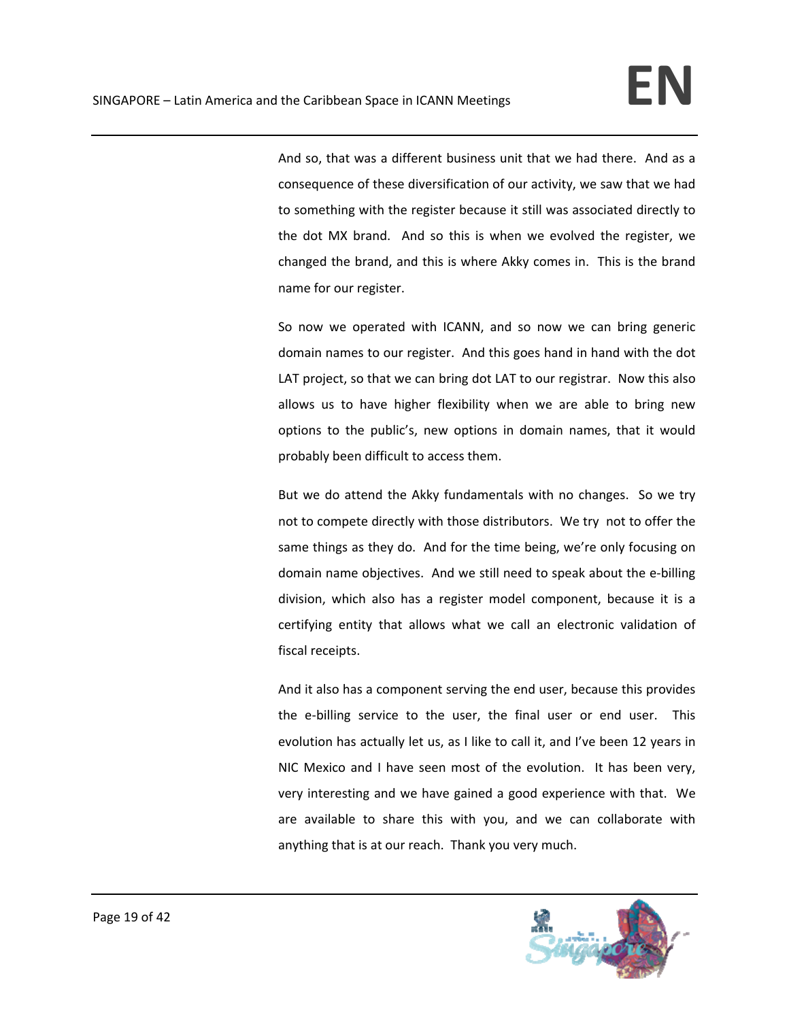And so, that was a different business unit that we had there. And as a consequence of these diversification of our activity, we saw that we had to something with the register because it still was associated directly to the dot MX brand. And so this is when we evolved the register, we changed the brand, and this is where Akky comes in. This is the brand name for our register.

So now we operated with ICANN, and so now we can bring generic domain names to our register. And this goes hand in hand with the dot LAT project, so that we can bring dot LAT to our registrar. Now this also allows us to have higher flexibility when we are able to bring new options to the public's, new options in domain names, that it would probably been difficult to access them.

But we do attend the Akky fundamentals with no changes. So we try not to compete directly with those distributors. We try not to offer the same things as they do. And for the time being, we're only focusing on domain name objectives. And we still need to speak about the e‐billing division, which also has a register model component, because it is a certifying entity that allows what we call an electronic validation of fiscal receipts.

And it also has a component serving the end user, because this provides the e-billing service to the user, the final user or end user. This evolution has actually let us, as I like to call it, and I've been 12 years in NIC Mexico and I have seen most of the evolution. It has been very, very interesting and we have gained a good experience with that. We are available to share this with you, and we can collaborate with anything that is at our reach. Thank you very much.

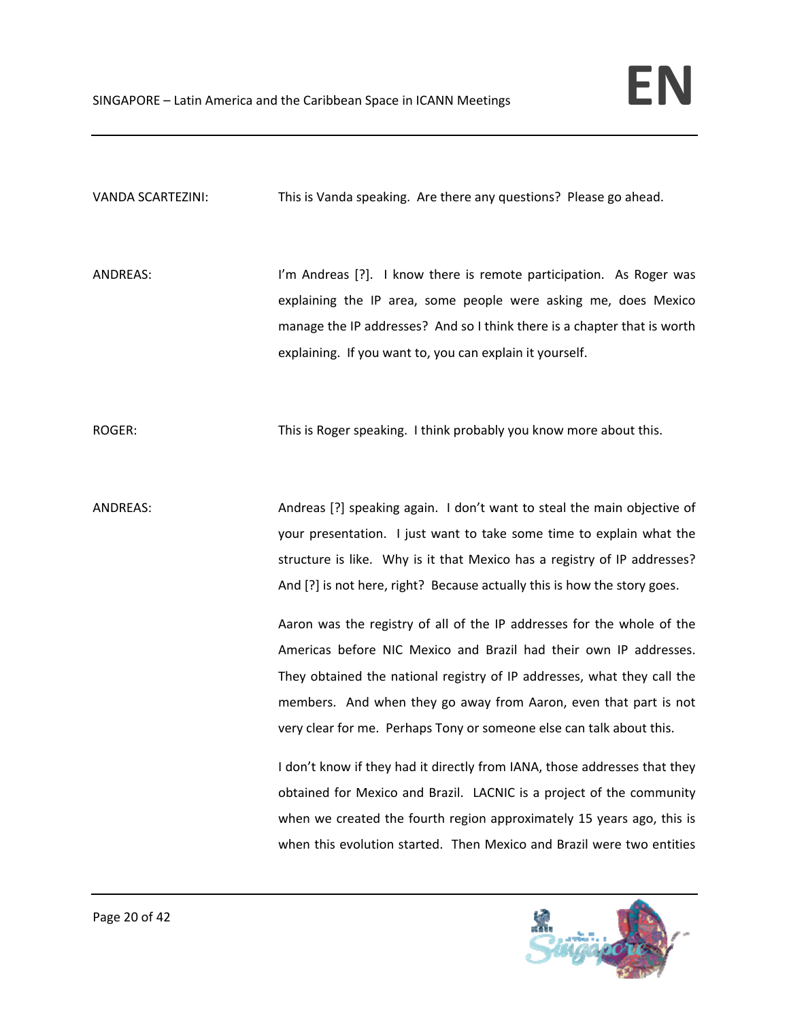VANDA SCARTEZINI: This is Vanda speaking. Are there any questions? Please go ahead.

ANDREAS: In the Mandreas [?]. I know there is remote participation. As Roger was explaining the IP area, some people were asking me, does Mexico manage the IP addresses? And so I think there is a chapter that is worth explaining. If you want to, you can explain it yourself.

ROGER: This is Roger speaking. I think probably you know more about this.

ANDREAS: Andreas [?] speaking again. I don't want to steal the main objective of your presentation. I just want to take some time to explain what the structure is like. Why is it that Mexico has a registry of IP addresses? And [?] is not here, right? Because actually this is how the story goes.

> Aaron was the registry of all of the IP addresses for the whole of the Americas before NIC Mexico and Brazil had their own IP addresses. They obtained the national registry of IP addresses, what they call the members. And when they go away from Aaron, even that part is not very clear for me. Perhaps Tony or someone else can talk about this.

> I don't know if they had it directly from IANA, those addresses that they obtained for Mexico and Brazil. LACNIC is a project of the community when we created the fourth region approximately 15 years ago, this is when this evolution started. Then Mexico and Brazil were two entities

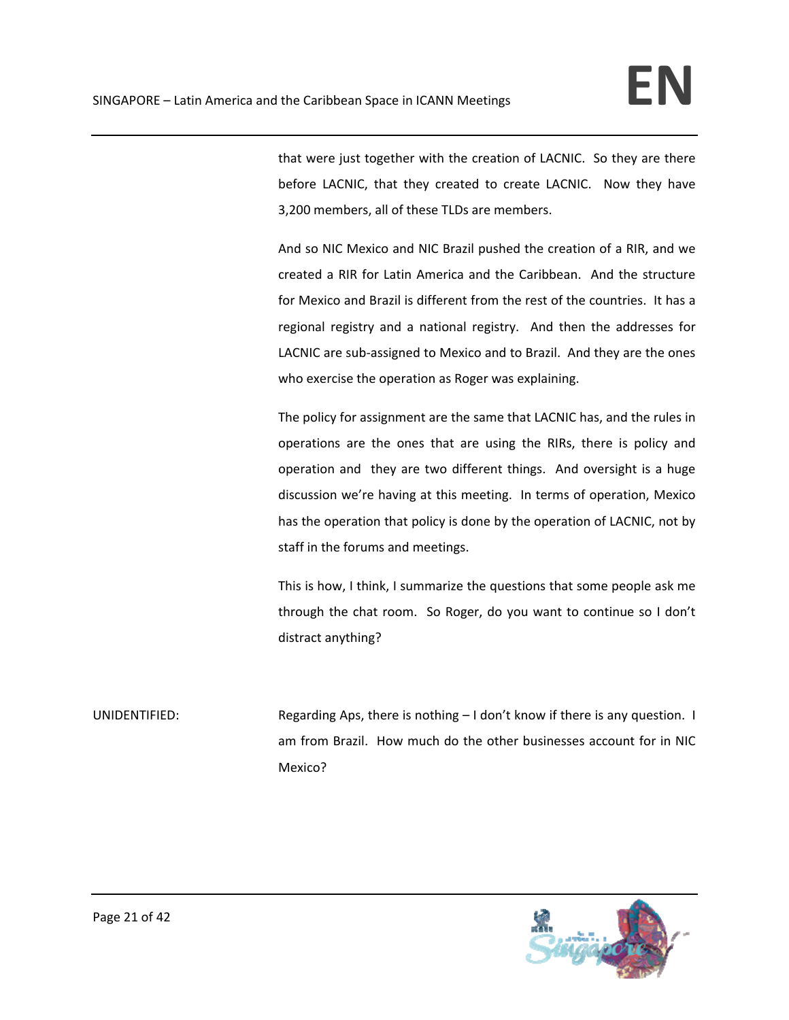that were just together with the creation of LACNIC. So they are there before LACNIC, that they created to create LACNIC. Now they have 3,200 members, all of these TLDs are members.

And so NIC Mexico and NIC Brazil pushed the creation of a RIR, and we created a RIR for Latin America and the Caribbean. And the structure for Mexico and Brazil is different from the rest of the countries. It has a regional registry and a national registry. And then the addresses for LACNIC are sub-assigned to Mexico and to Brazil. And they are the ones who exercise the operation as Roger was explaining.

The policy for assignment are the same that LACNIC has, and the rules in operations are the ones that are using the RIRs, there is policy and operation and they are two different things. And oversight is a huge discussion we're having at this meeting. In terms of operation, Mexico has the operation that policy is done by the operation of LACNIC, not by staff in the forums and meetings.

This is how, I think, I summarize the questions that some people ask me through the chat room. So Roger, do you want to continue so I don't distract anything?

UNIDENTIFIED: Regarding Aps, there is nothing – I don't know if there is any question. I am from Brazil. How much do the other businesses account for in NIC Mexico?

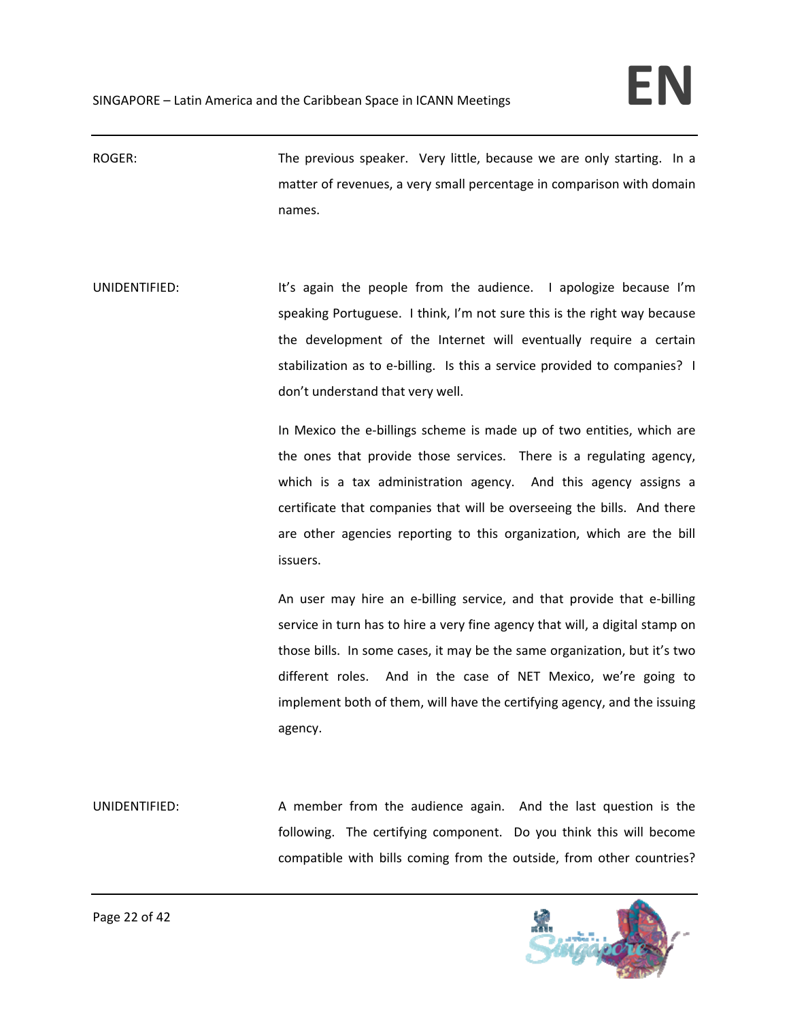ROGER: The previous speaker. Very little, because we are only starting. In a matter of revenues, a very small percentage in comparison with domain names.

UNIDENTIFIED: It's again the people from the audience. I apologize because I'm speaking Portuguese. I think, I'm not sure this is the right way because the development of the Internet will eventually require a certain stabilization as to e-billing. Is this a service provided to companies? I don't understand that very well.

> In Mexico the e-billings scheme is made up of two entities, which are the ones that provide those services. There is a regulating agency, which is a tax administration agency. And this agency assigns a certificate that companies that will be overseeing the bills. And there are other agencies reporting to this organization, which are the bill issuers.

> An user may hire an e‐billing service, and that provide that e‐billing service in turn has to hire a very fine agency that will, a digital stamp on those bills. In some cases, it may be the same organization, but it's two different roles. And in the case of NET Mexico, we're going to implement both of them, will have the certifying agency, and the issuing agency.

UNIDENTIFIED: A member from the audience again. And the last question is the following. The certifying component. Do you think this will become compatible with bills coming from the outside, from other countries?

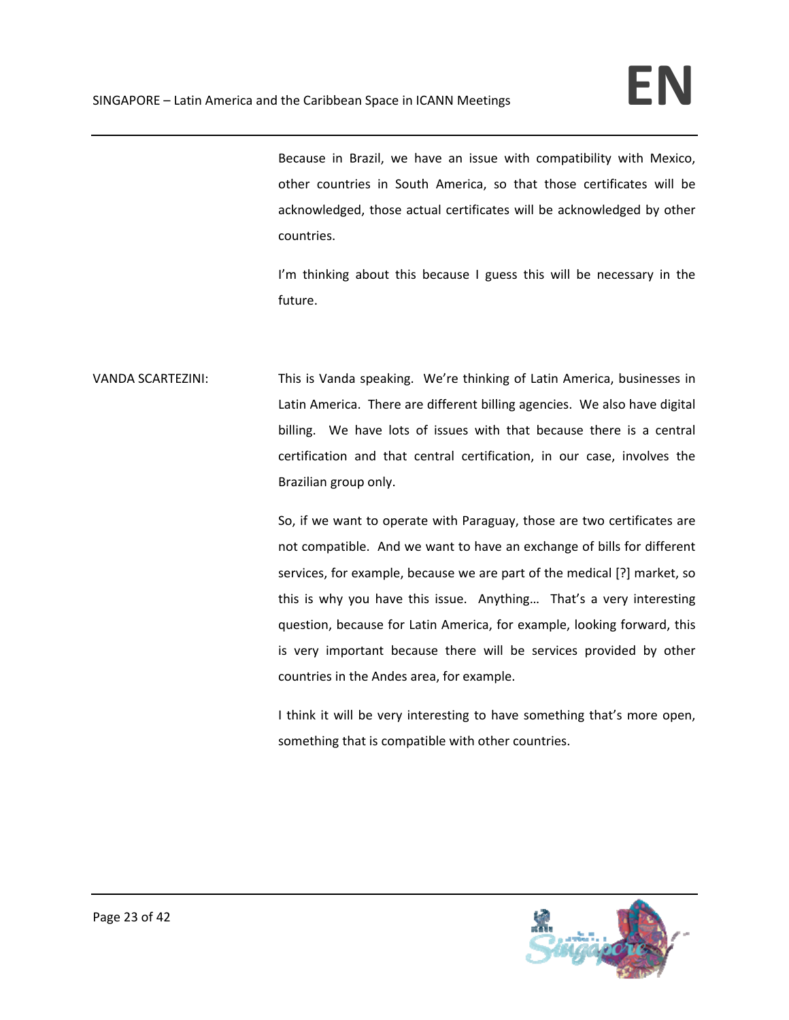Because in Brazil, we have an issue with compatibility with Mexico, other countries in South America, so that those certificates will be acknowledged, those actual certificates will be acknowledged by other countries.

I'm thinking about this because I guess this will be necessary in the future.

VANDA SCARTEZINI: This is Vanda speaking. We're thinking of Latin America, businesses in Latin America. There are different billing agencies. We also have digital billing. We have lots of issues with that because there is a central certification and that central certification, in our case, involves the Brazilian group only.

> So, if we want to operate with Paraguay, those are two certificates are not compatible. And we want to have an exchange of bills for different services, for example, because we are part of the medical [?] market, so this is why you have this issue. Anything... That's a very interesting question, because for Latin America, for example, looking forward, this is very important because there will be services provided by other countries in the Andes area, for example.

> I think it will be very interesting to have something that's more open, something that is compatible with other countries.

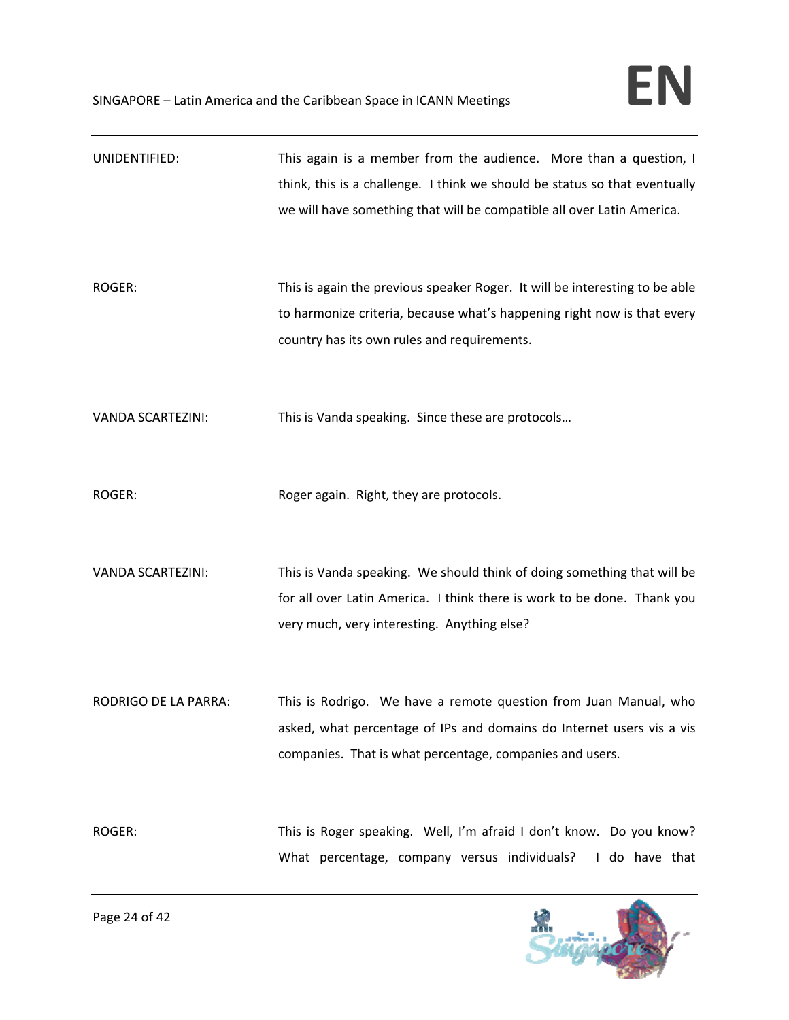| UNIDENTIFIED:            | This again is a member from the audience. More than a question, I<br>think, this is a challenge. I think we should be status so that eventually<br>we will have something that will be compatible all over Latin America. |
|--------------------------|---------------------------------------------------------------------------------------------------------------------------------------------------------------------------------------------------------------------------|
| ROGER:                   | This is again the previous speaker Roger. It will be interesting to be able<br>to harmonize criteria, because what's happening right now is that every<br>country has its own rules and requirements.                     |
| <b>VANDA SCARTEZINI:</b> | This is Vanda speaking. Since these are protocols                                                                                                                                                                         |
| <b>ROGER:</b>            | Roger again. Right, they are protocols.                                                                                                                                                                                   |
| <b>VANDA SCARTEZINI:</b> | This is Vanda speaking. We should think of doing something that will be<br>for all over Latin America. I think there is work to be done. Thank you<br>very much, very interesting. Anything else?                         |
| RODRIGO DE LA PARRA:     | This is Rodrigo. We have a remote question from Juan Manual, who<br>asked, what percentage of IPs and domains do Internet users vis a vis<br>companies. That is what percentage, companies and users.                     |
| ROGER:                   | This is Roger speaking. Well, I'm afraid I don't know. Do you know?<br>What percentage, company versus individuals? I do have that                                                                                        |

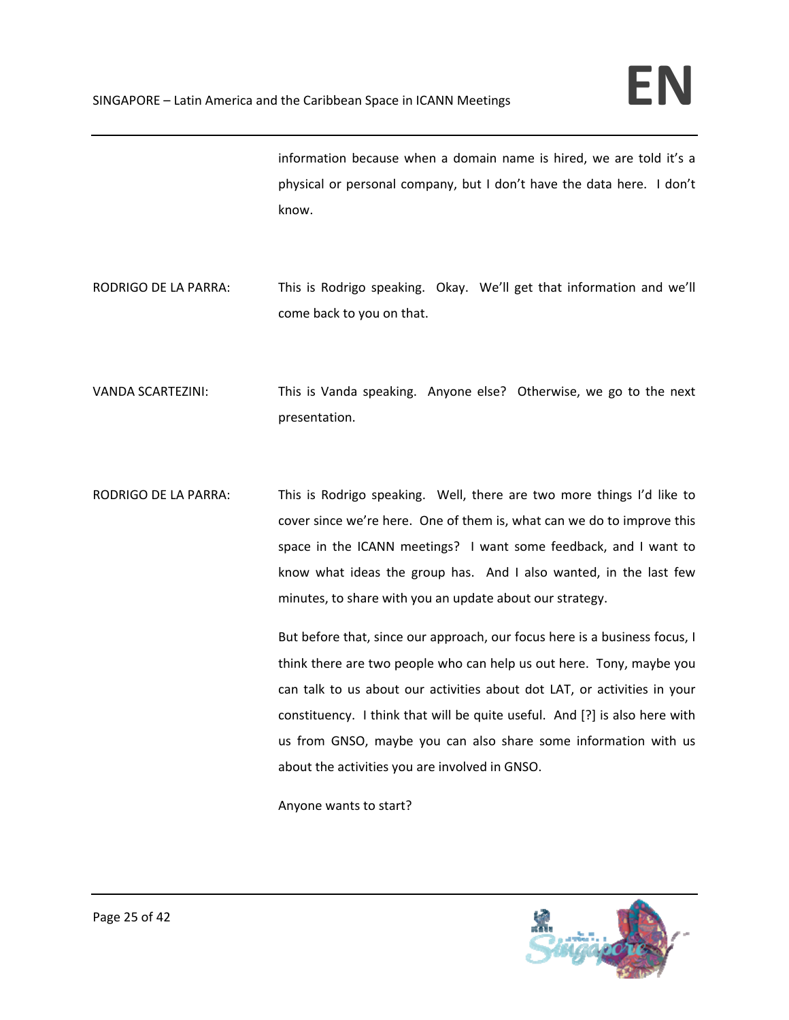information because when a domain name is hired, we are told it's a physical or personal company, but I don't have the data here. I don't know.

- RODRIGO DE LA PARRA: This is Rodrigo speaking. Okay. We'll get that information and we'll come back to you on that.
- VANDA SCARTEZINI: This is Vanda speaking. Anyone else? Otherwise, we go to the next presentation.
- RODRIGO DE LA PARRA: This is Rodrigo speaking. Well, there are two more things I'd like to cover since we're here. One of them is, what can we do to improve this space in the ICANN meetings? I want some feedback, and I want to know what ideas the group has. And I also wanted, in the last few minutes, to share with you an update about our strategy.

But before that, since our approach, our focus here is a business focus, I think there are two people who can help us out here. Tony, maybe you can talk to us about our activities about dot LAT, or activities in your constituency. I think that will be quite useful. And [?] is also here with us from GNSO, maybe you can also share some information with us about the activities you are involved in GNSO.

Anyone wants to start?

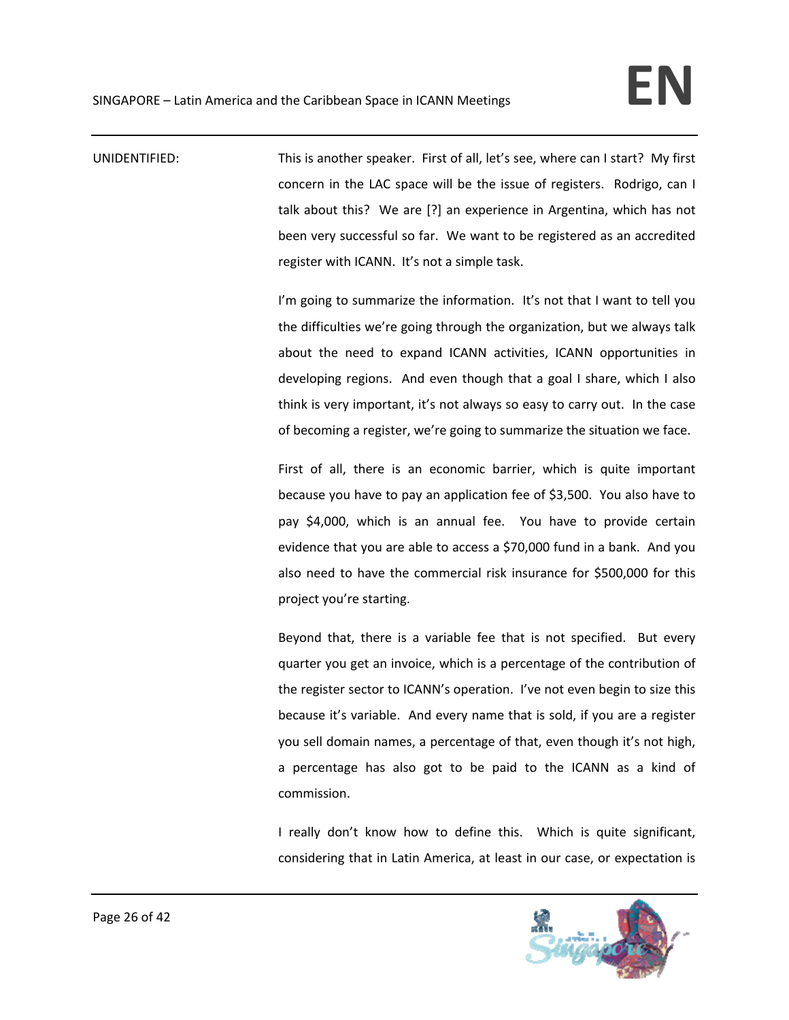UNIDENTIFIED: This is another speaker. First of all, let's see, where can I start? My first concern in the LAC space will be the issue of registers. Rodrigo, can I talk about this? We are [?] an experience in Argentina, which has not been very successful so far. We want to be registered as an accredited register with ICANN. It's not a simple task.

> I'm going to summarize the information. It's not that I want to tell you the difficulties we're going through the organization, but we always talk about the need to expand ICANN activities, ICANN opportunities in developing regions. And even though that a goal I share, which I also think is very important, it's not always so easy to carry out. In the case of becoming a register, we're going to summarize the situation we face.

> First of all, there is an economic barrier, which is quite important because you have to pay an application fee of \$3,500. You also have to pay \$4,000, which is an annual fee. You have to provide certain evidence that you are able to access a \$70,000 fund in a bank. And you also need to have the commercial risk insurance for \$500,000 for this project you're starting.

> Beyond that, there is a variable fee that is not specified. But every quarter you get an invoice, which is a percentage of the contribution of the register sector to ICANN's operation. I've not even begin to size this because it's variable. And every name that is sold, if you are a register you sell domain names, a percentage of that, even though it's not high, a percentage has also got to be paid to the ICANN as a kind of commission.

> I really don't know how to define this. Which is quite significant, considering that in Latin America, at least in our case, or expectation is

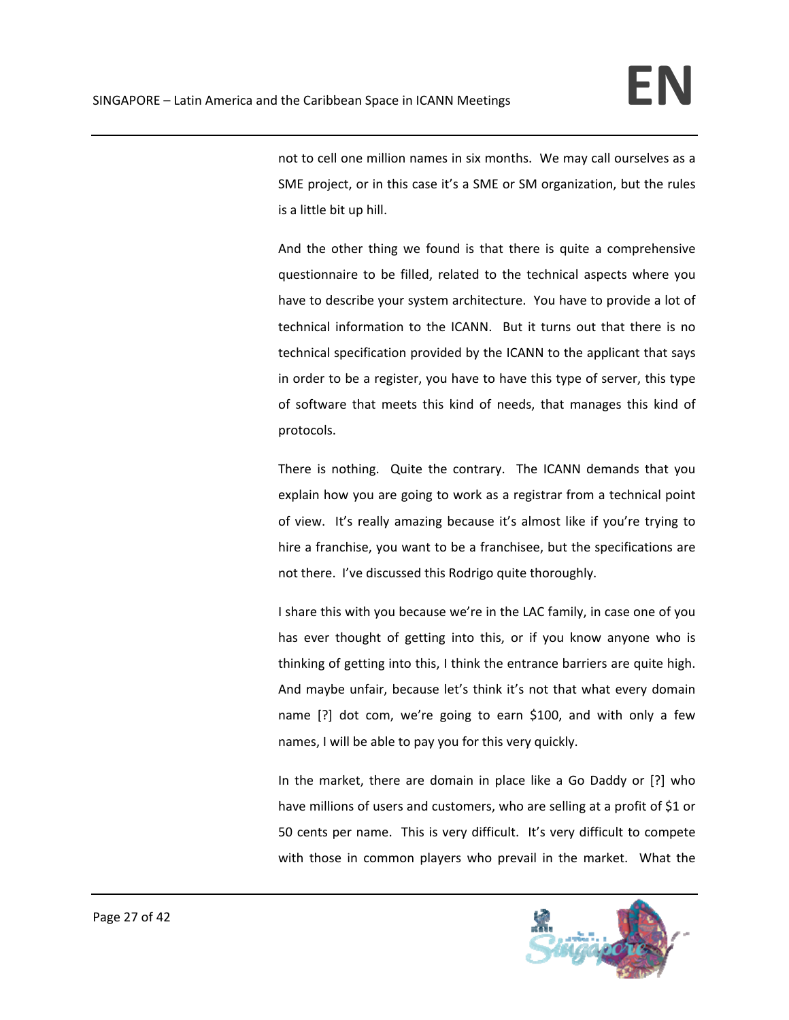not to cell one million names in six months. We may call ourselves as a SME project, or in this case it's a SME or SM organization, but the rules is a little bit up hill.

And the other thing we found is that there is quite a comprehensive questionnaire to be filled, related to the technical aspects where you have to describe your system architecture. You have to provide a lot of technical information to the ICANN. But it turns out that there is no technical specification provided by the ICANN to the applicant that says in order to be a register, you have to have this type of server, this type of software that meets this kind of needs, that manages this kind of protocols.

There is nothing. Quite the contrary. The ICANN demands that you explain how you are going to work as a registrar from a technical point of view. It's really amazing because it's almost like if you're trying to hire a franchise, you want to be a franchisee, but the specifications are not there. I've discussed this Rodrigo quite thoroughly.

I share this with you because we're in the LAC family, in case one of you has ever thought of getting into this, or if you know anyone who is thinking of getting into this, I think the entrance barriers are quite high. And maybe unfair, because let's think it's not that what every domain name [?] dot com, we're going to earn \$100, and with only a few names, I will be able to pay you for this very quickly.

In the market, there are domain in place like a Go Daddy or [?] who have millions of users and customers, who are selling at a profit of \$1 or 50 cents per name. This is very difficult. It's very difficult to compete with those in common players who prevail in the market. What the

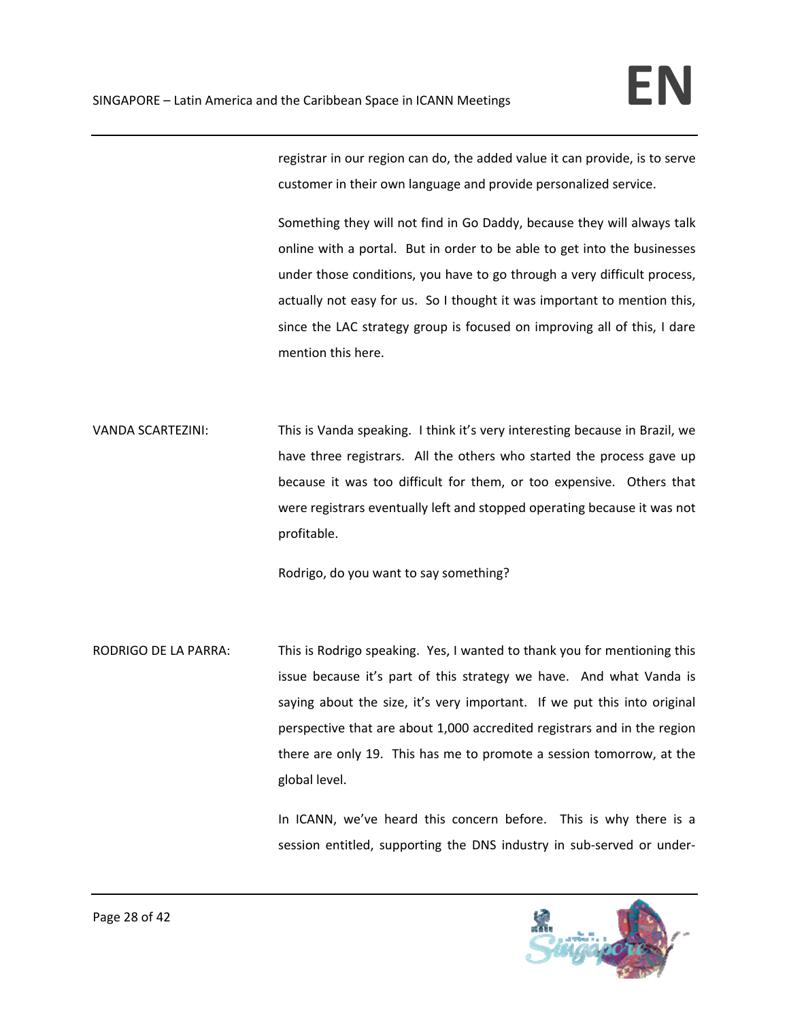registrar in our region can do, the added value it can provide, is to serve customer in their own language and provide personalized service.

Something they will not find in Go Daddy, because they will always talk online with a portal. But in order to be able to get into the businesses under those conditions, you have to go through a very difficult process, actually not easy for us. So I thought it was important to mention this, since the LAC strategy group is focused on improving all of this, I dare mention this here.

VANDA SCARTEZINI: This is Vanda speaking. I think it's very interesting because in Brazil, we have three registrars. All the others who started the process gave up because it was too difficult for them, or too expensive. Others that were registrars eventually left and stopped operating because it was not profitable.

Rodrigo, do you want to say something?

RODRIGO DE LA PARRA: This is Rodrigo speaking. Yes, I wanted to thank you for mentioning this issue because it's part of this strategy we have. And what Vanda is saying about the size, it's very important. If we put this into original perspective that are about 1,000 accredited registrars and in the region there are only 19. This has me to promote a session tomorrow, at the global level.

> In ICANN, we've heard this concern before. This is why there is a session entitled, supporting the DNS industry in sub-served or under-

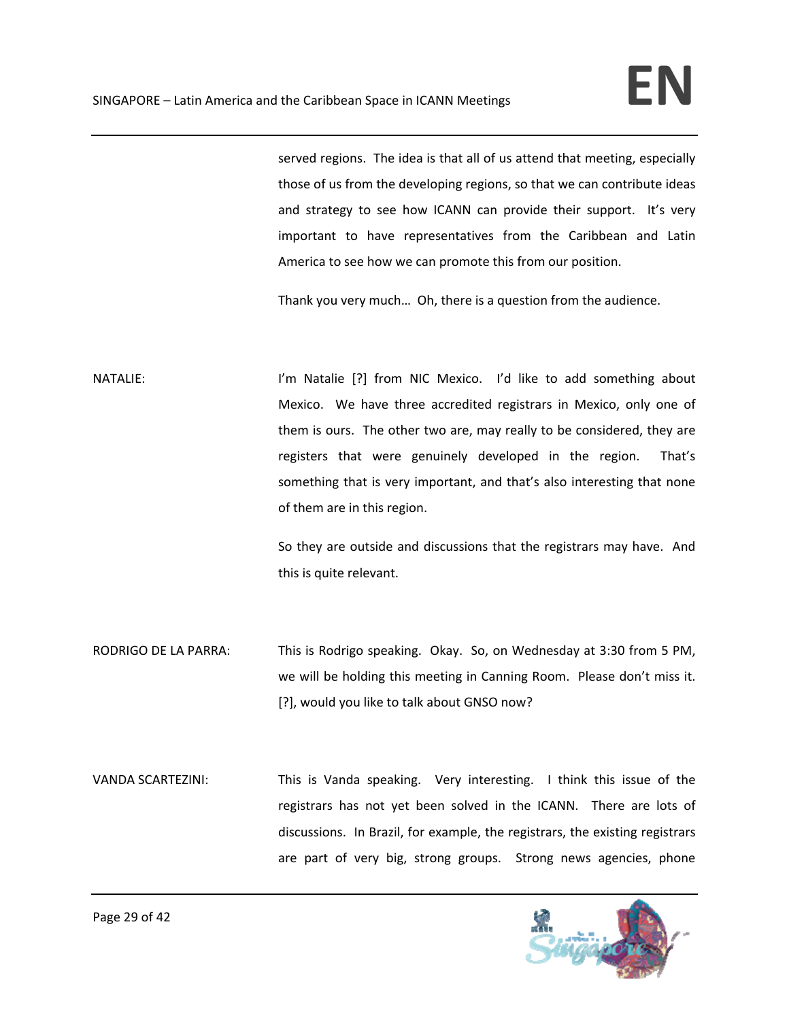served regions. The idea is that all of us attend that meeting, especially those of us from the developing regions, so that we can contribute ideas and strategy to see how ICANN can provide their support. It's very important to have representatives from the Caribbean and Latin America to see how we can promote this from our position.

Thank you very much… Oh, there is a question from the audience.

NATALIE: I'm Natalie [?] from NIC Mexico. I'd like to add something about Mexico. We have three accredited registrars in Mexico, only one of them is ours. The other two are, may really to be considered, they are registers that were genuinely developed in the region. That's something that is very important, and that's also interesting that none of them are in this region.

> So they are outside and discussions that the registrars may have. And this is quite relevant.

RODRIGO DE LA PARRA: This is Rodrigo speaking. Okay. So, on Wednesday at 3:30 from 5 PM, we will be holding this meeting in Canning Room. Please don't miss it. [?], would you like to talk about GNSO now?

VANDA SCARTEZINI: This is Vanda speaking. Very interesting. I think this issue of the registrars has not yet been solved in the ICANN. There are lots of discussions. In Brazil, for example, the registrars, the existing registrars are part of very big, strong groups. Strong news agencies, phone

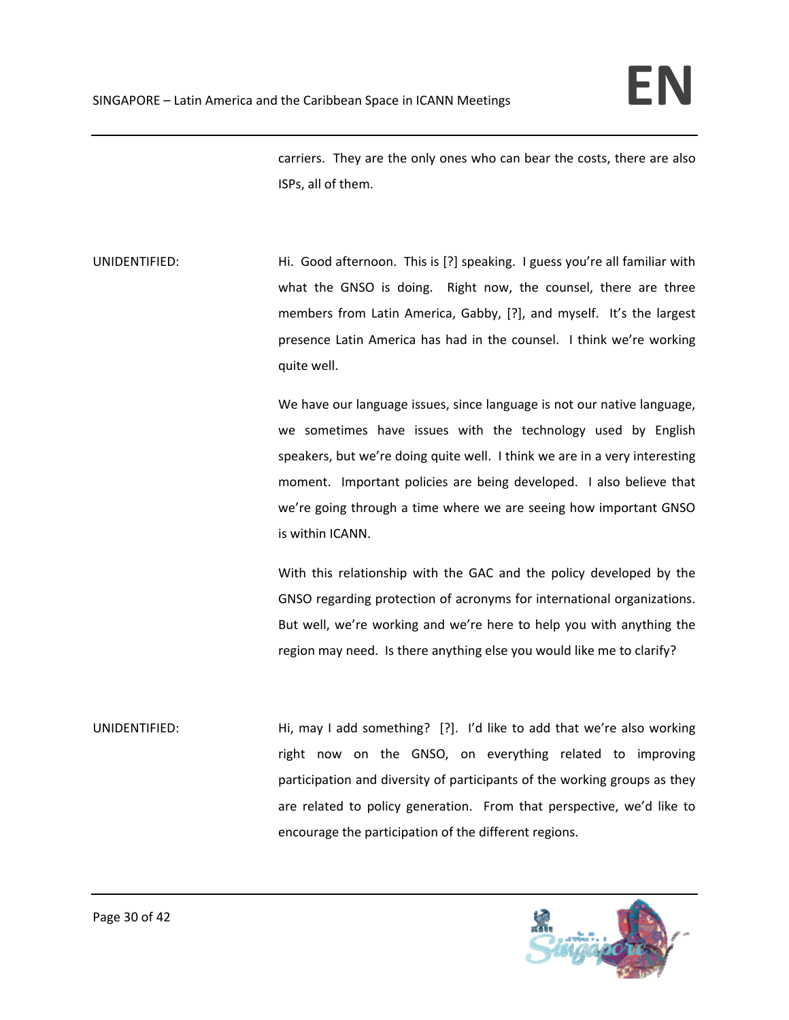carriers. They are the only ones who can bear the costs, there are also ISPs, all of them.

UNIDENTIFIED: Hi. Good afternoon. This is [?] speaking. I guess you're all familiar with what the GNSO is doing. Right now, the counsel, there are three members from Latin America, Gabby, [?], and myself. It's the largest presence Latin America has had in the counsel. I think we're working quite well.

> We have our language issues, since language is not our native language, we sometimes have issues with the technology used by English speakers, but we're doing quite well. I think we are in a very interesting moment. Important policies are being developed. I also believe that we're going through a time where we are seeing how important GNSO is within ICANN.

> With this relationship with the GAC and the policy developed by the GNSO regarding protection of acronyms for international organizations. But well, we're working and we're here to help you with anything the region may need. Is there anything else you would like me to clarify?

UNIDENTIFIED: Hi, may I add something? [?]. I'd like to add that we're also working right now on the GNSO, on everything related to improving participation and diversity of participants of the working groups as they are related to policy generation. From that perspective, we'd like to encourage the participation of the different regions.

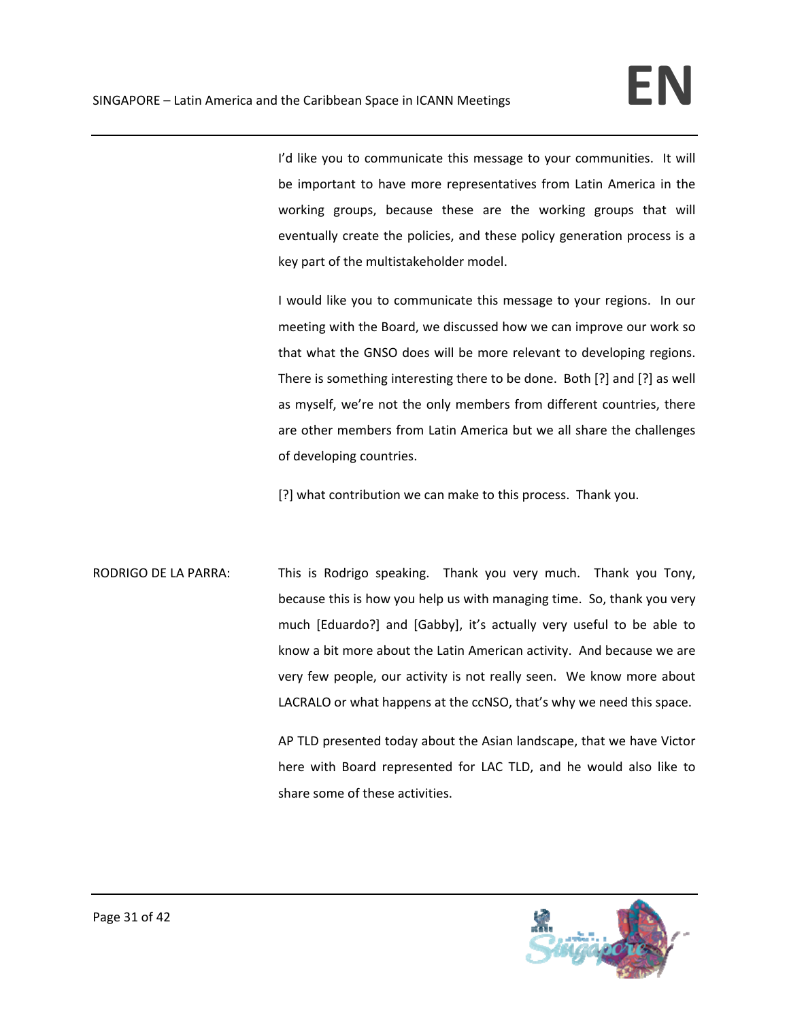I'd like you to communicate this message to your communities. It will be important to have more representatives from Latin America in the working groups, because these are the working groups that will eventually create the policies, and these policy generation process is a key part of the multistakeholder model.

I would like you to communicate this message to your regions. In our meeting with the Board, we discussed how we can improve our work so that what the GNSO does will be more relevant to developing regions. There is something interesting there to be done. Both [?] and [?] as well as myself, we're not the only members from different countries, there are other members from Latin America but we all share the challenges of developing countries.

[?] what contribution we can make to this process. Thank you.

RODRIGO DE LA PARRA: This is Rodrigo speaking. Thank you very much. Thank you Tony, because this is how you help us with managing time. So, thank you very much [Eduardo?] and [Gabby], it's actually very useful to be able to know a bit more about the Latin American activity. And because we are very few people, our activity is not really seen. We know more about LACRALO or what happens at the ccNSO, that's why we need this space.

> AP TLD presented today about the Asian landscape, that we have Victor here with Board represented for LAC TLD, and he would also like to share some of these activities.

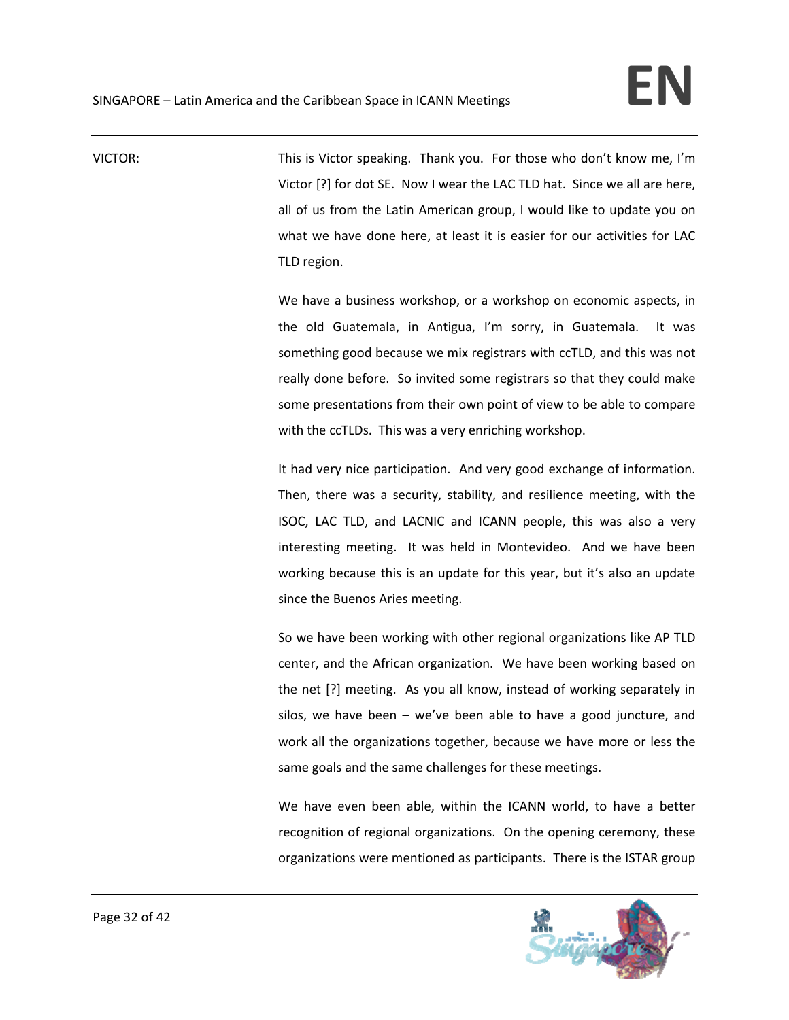VICTOR: This is Victor speaking. Thank you. For those who don't know me, I'm Victor [?] for dot SE. Now I wear the LAC TLD hat. Since we all are here, all of us from the Latin American group, I would like to update you on what we have done here, at least it is easier for our activities for LAC TLD region.

> We have a business workshop, or a workshop on economic aspects, in the old Guatemala, in Antigua, I'm sorry, in Guatemala. It was something good because we mix registrars with ccTLD, and this was not really done before. So invited some registrars so that they could make some presentations from their own point of view to be able to compare with the ccTLDs. This was a very enriching workshop.

> It had very nice participation. And very good exchange of information. Then, there was a security, stability, and resilience meeting, with the ISOC, LAC TLD, and LACNIC and ICANN people, this was also a very interesting meeting. It was held in Montevideo. And we have been working because this is an update for this year, but it's also an update since the Buenos Aries meeting.

> So we have been working with other regional organizations like AP TLD center, and the African organization. We have been working based on the net [?] meeting. As you all know, instead of working separately in silos, we have been  $-$  we've been able to have a good juncture, and work all the organizations together, because we have more or less the same goals and the same challenges for these meetings.

> We have even been able, within the ICANN world, to have a better recognition of regional organizations. On the opening ceremony, these organizations were mentioned as participants. There is the ISTAR group

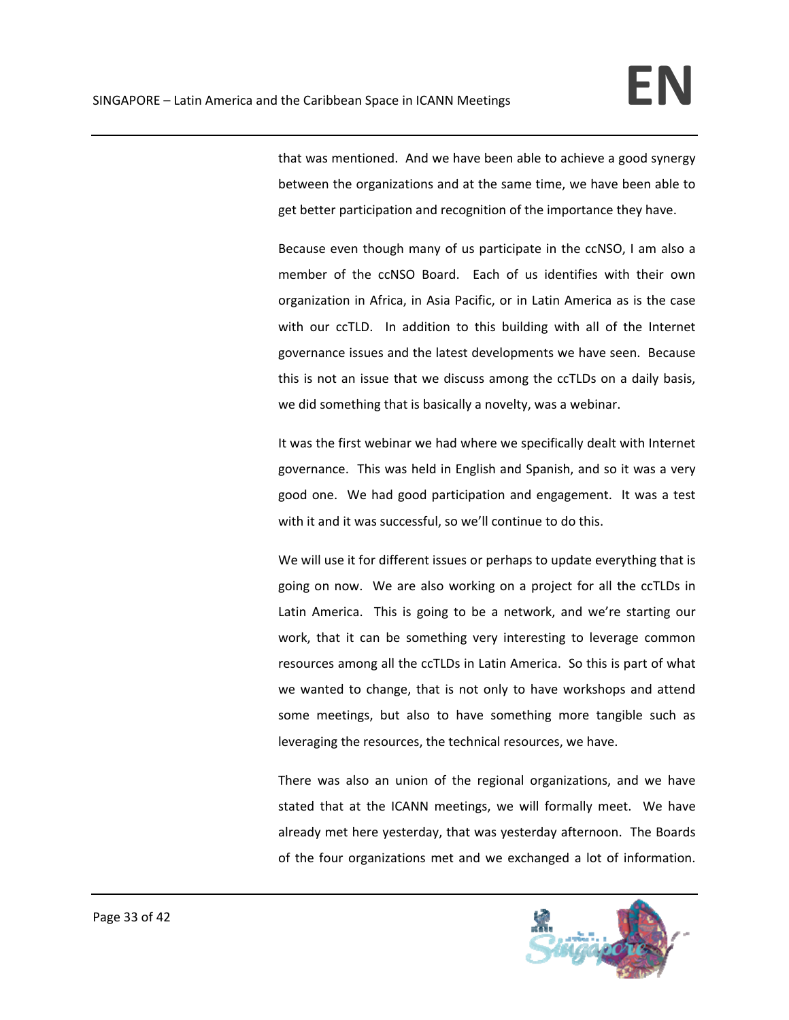that was mentioned. And we have been able to achieve a good synergy between the organizations and at the same time, we have been able to get better participation and recognition of the importance they have.

Because even though many of us participate in the ccNSO, I am also a member of the ccNSO Board. Each of us identifies with their own organization in Africa, in Asia Pacific, or in Latin America as is the case with our ccTLD. In addition to this building with all of the Internet governance issues and the latest developments we have seen. Because this is not an issue that we discuss among the ccTLDs on a daily basis, we did something that is basically a novelty, was a webinar.

It was the first webinar we had where we specifically dealt with Internet governance. This was held in English and Spanish, and so it was a very good one. We had good participation and engagement. It was a test with it and it was successful, so we'll continue to do this.

We will use it for different issues or perhaps to update everything that is going on now. We are also working on a project for all the ccTLDs in Latin America. This is going to be a network, and we're starting our work, that it can be something very interesting to leverage common resources among all the ccTLDs in Latin America. So this is part of what we wanted to change, that is not only to have workshops and attend some meetings, but also to have something more tangible such as leveraging the resources, the technical resources, we have.

There was also an union of the regional organizations, and we have stated that at the ICANN meetings, we will formally meet. We have already met here yesterday, that was yesterday afternoon. The Boards of the four organizations met and we exchanged a lot of information.

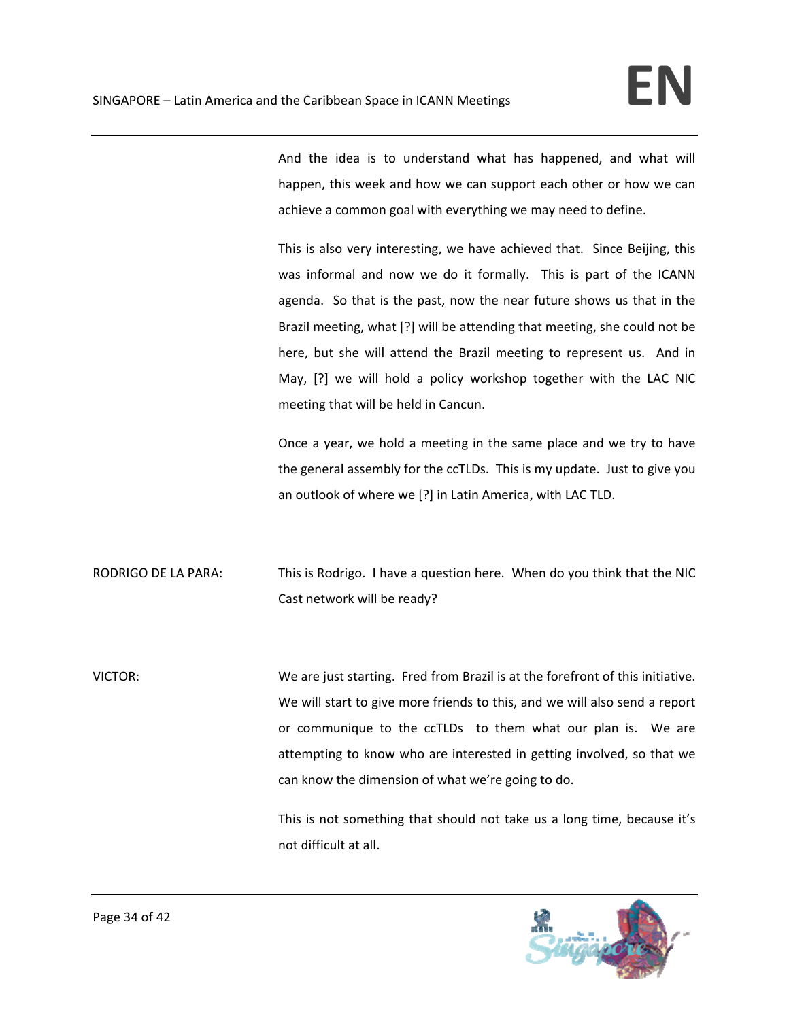And the idea is to understand what has happened, and what will happen, this week and how we can support each other or how we can achieve a common goal with everything we may need to define.

This is also very interesting, we have achieved that. Since Beijing, this was informal and now we do it formally. This is part of the ICANN agenda. So that is the past, now the near future shows us that in the Brazil meeting, what [?] will be attending that meeting, she could not be here, but she will attend the Brazil meeting to represent us. And in May, [?] we will hold a policy workshop together with the LAC NIC meeting that will be held in Cancun.

Once a year, we hold a meeting in the same place and we try to have the general assembly for the ccTLDs. This is my update. Just to give you an outlook of where we [?] in Latin America, with LAC TLD.

RODRIGO DE LA PARA: This is Rodrigo. I have a question here. When do you think that the NIC Cast network will be ready?

VICTOR: We are just starting. Fred from Brazil is at the forefront of this initiative. We will start to give more friends to this, and we will also send a report or communique to the ccTLDs to them what our plan is. We are attempting to know who are interested in getting involved, so that we can know the dimension of what we're going to do.

> This is not something that should not take us a long time, because it's not difficult at all.

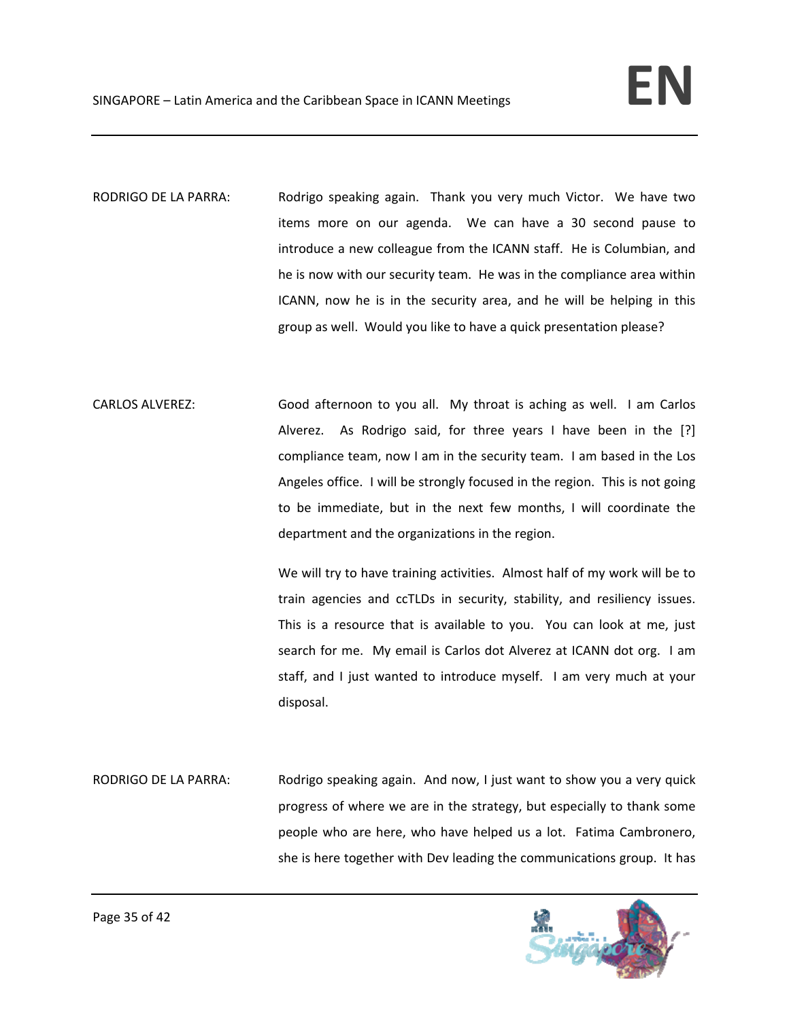- RODRIGO DE LA PARRA: Rodrigo speaking again. Thank you very much Victor. We have two items more on our agenda. We can have a 30 second pause to introduce a new colleague from the ICANN staff. He is Columbian, and he is now with our security team. He was in the compliance area within ICANN, now he is in the security area, and he will be helping in this group as well. Would you like to have a quick presentation please?
- CARLOS ALVEREZ: Good afternoon to you all. My throat is aching as well. I am Carlos Alverez. As Rodrigo said, for three years I have been in the  $[?]$ compliance team, now I am in the security team. I am based in the Los Angeles office. I will be strongly focused in the region. This is not going to be immediate, but in the next few months, I will coordinate the department and the organizations in the region.

We will try to have training activities. Almost half of my work will be to train agencies and ccTLDs in security, stability, and resiliency issues. This is a resource that is available to you. You can look at me, just search for me. My email is Carlos dot Alverez at ICANN dot org. I am staff, and I just wanted to introduce myself. I am very much at your disposal.

RODRIGO DE LA PARRA: Rodrigo speaking again. And now, I just want to show you a very quick progress of where we are in the strategy, but especially to thank some people who are here, who have helped us a lot. Fatima Cambronero, she is here together with Dev leading the communications group. It has

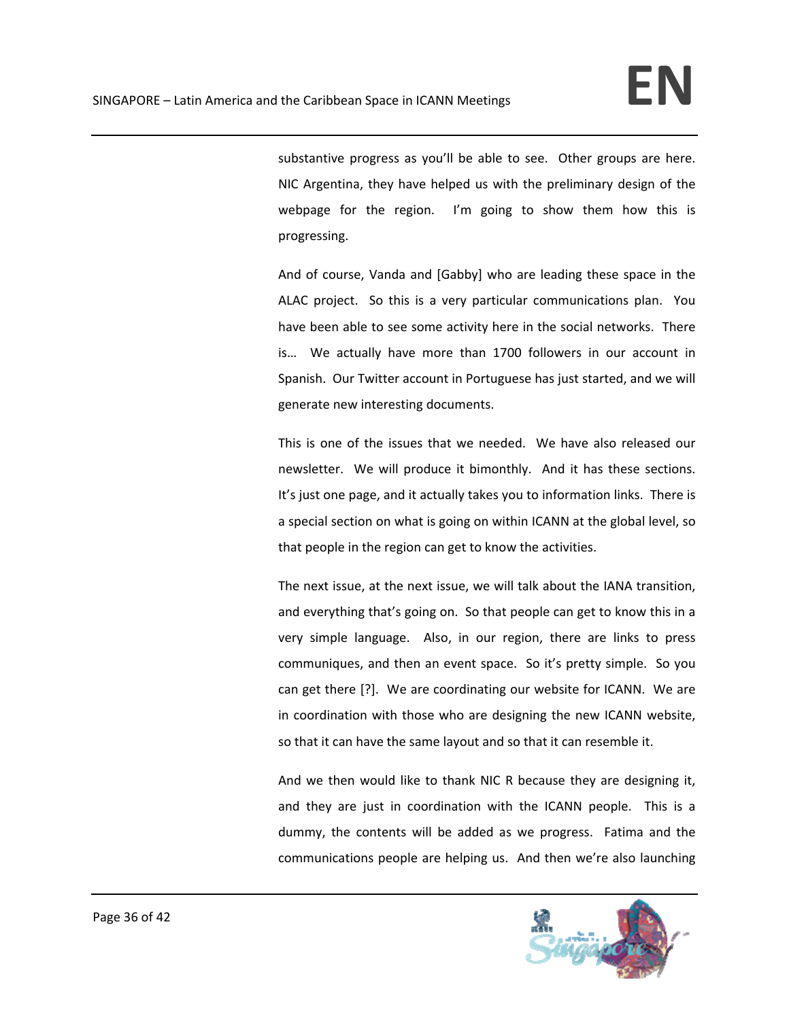substantive progress as you'll be able to see. Other groups are here. NIC Argentina, they have helped us with the preliminary design of the webpage for the region. I'm going to show them how this is progressing.

And of course, Vanda and [Gabby] who are leading these space in the ALAC project. So this is a very particular communications plan. You have been able to see some activity here in the social networks. There is... We actually have more than 1700 followers in our account in Spanish. Our Twitter account in Portuguese has just started, and we will generate new interesting documents.

This is one of the issues that we needed. We have also released our newsletter. We will produce it bimonthly. And it has these sections. It's just one page, and it actually takes you to information links. There is a special section on what is going on within ICANN at the global level, so that people in the region can get to know the activities.

The next issue, at the next issue, we will talk about the IANA transition, and everything that's going on. So that people can get to know this in a very simple language. Also, in our region, there are links to press communiques, and then an event space. So it's pretty simple. So you can get there [?]. We are coordinating our website for ICANN. We are in coordination with those who are designing the new ICANN website, so that it can have the same layout and so that it can resemble it.

And we then would like to thank NIC R because they are designing it, and they are just in coordination with the ICANN people. This is a dummy, the contents will be added as we progress. Fatima and the communications people are helping us. And then we're also launching

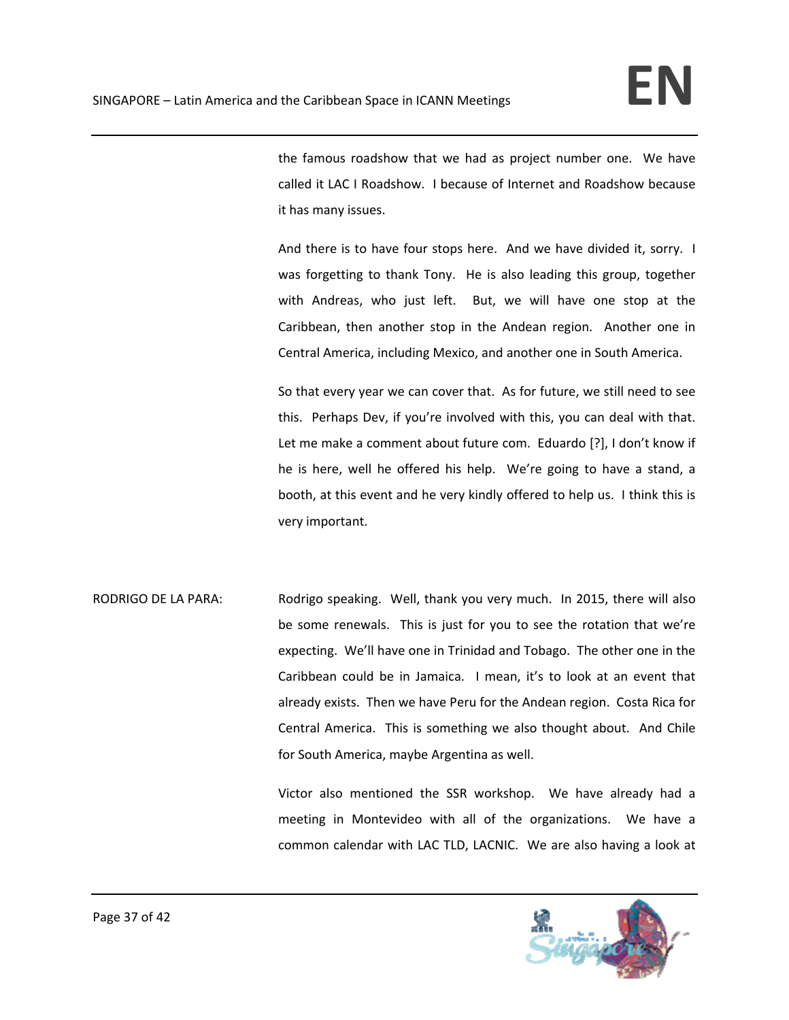the famous roadshow that we had as project number one. We have called it LAC I Roadshow. I because of Internet and Roadshow because it has many issues.

And there is to have four stops here. And we have divided it, sorry. I was forgetting to thank Tony. He is also leading this group, together with Andreas, who just left. But, we will have one stop at the Caribbean, then another stop in the Andean region. Another one in Central America, including Mexico, and another one in South America.

So that every year we can cover that. As for future, we still need to see this. Perhaps Dev, if you're involved with this, you can deal with that. Let me make a comment about future com. Eduardo [?], I don't know if he is here, well he offered his help. We're going to have a stand, a booth, at this event and he very kindly offered to help us. I think this is very important.

RODRIGO DE LA PARA: Rodrigo speaking. Well, thank you very much. In 2015, there will also be some renewals. This is just for you to see the rotation that we're expecting. We'll have one in Trinidad and Tobago. The other one in the Caribbean could be in Jamaica. I mean, it's to look at an event that already exists. Then we have Peru for the Andean region. Costa Rica for Central America. This is something we also thought about. And Chile for South America, maybe Argentina as well.

> Victor also mentioned the SSR workshop. We have already had a meeting in Montevideo with all of the organizations. We have a common calendar with LAC TLD, LACNIC. We are also having a look at

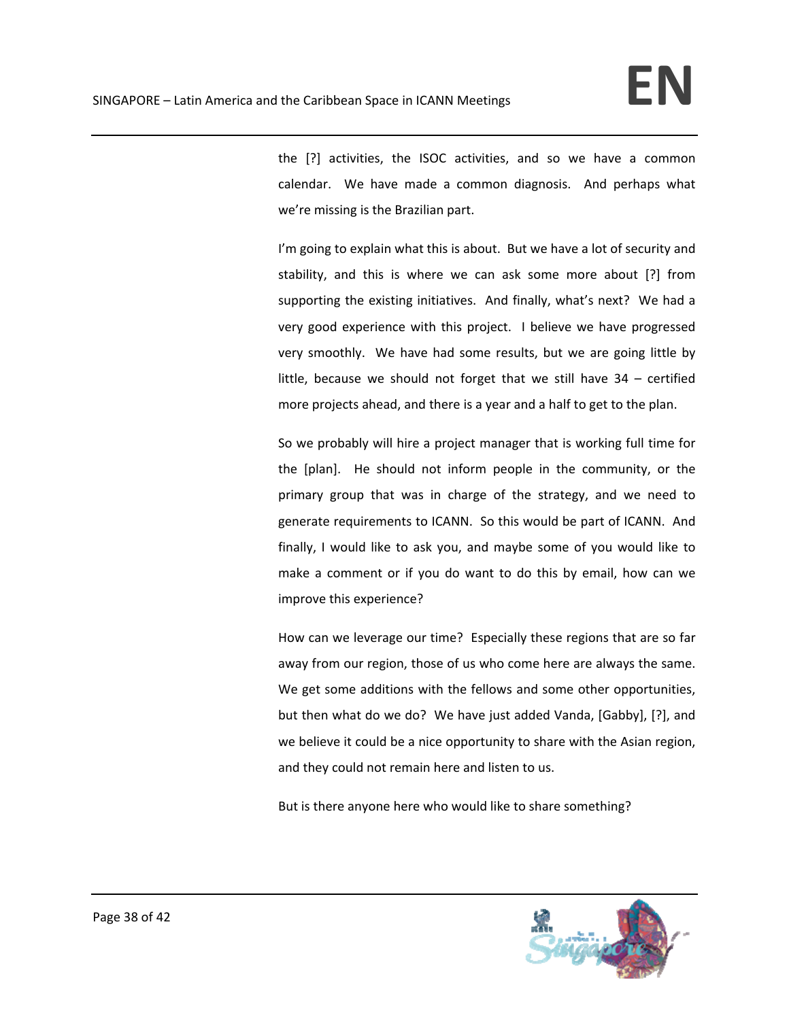the [?] activities, the ISOC activities, and so we have a common calendar. We have made a common diagnosis. And perhaps what we're missing is the Brazilian part.

I'm going to explain what this is about. But we have a lot of security and stability, and this is where we can ask some more about [?] from supporting the existing initiatives. And finally, what's next? We had a very good experience with this project. I believe we have progressed very smoothly. We have had some results, but we are going little by little, because we should not forget that we still have 34 – certified more projects ahead, and there is a year and a half to get to the plan.

So we probably will hire a project manager that is working full time for the [plan]. He should not inform people in the community, or the primary group that was in charge of the strategy, and we need to generate requirements to ICANN. So this would be part of ICANN. And finally, I would like to ask you, and maybe some of you would like to make a comment or if you do want to do this by email, how can we improve this experience?

How can we leverage our time? Especially these regions that are so far away from our region, those of us who come here are always the same. We get some additions with the fellows and some other opportunities, but then what do we do? We have just added Vanda, [Gabby], [?], and we believe it could be a nice opportunity to share with the Asian region, and they could not remain here and listen to us.

But is there anyone here who would like to share something?

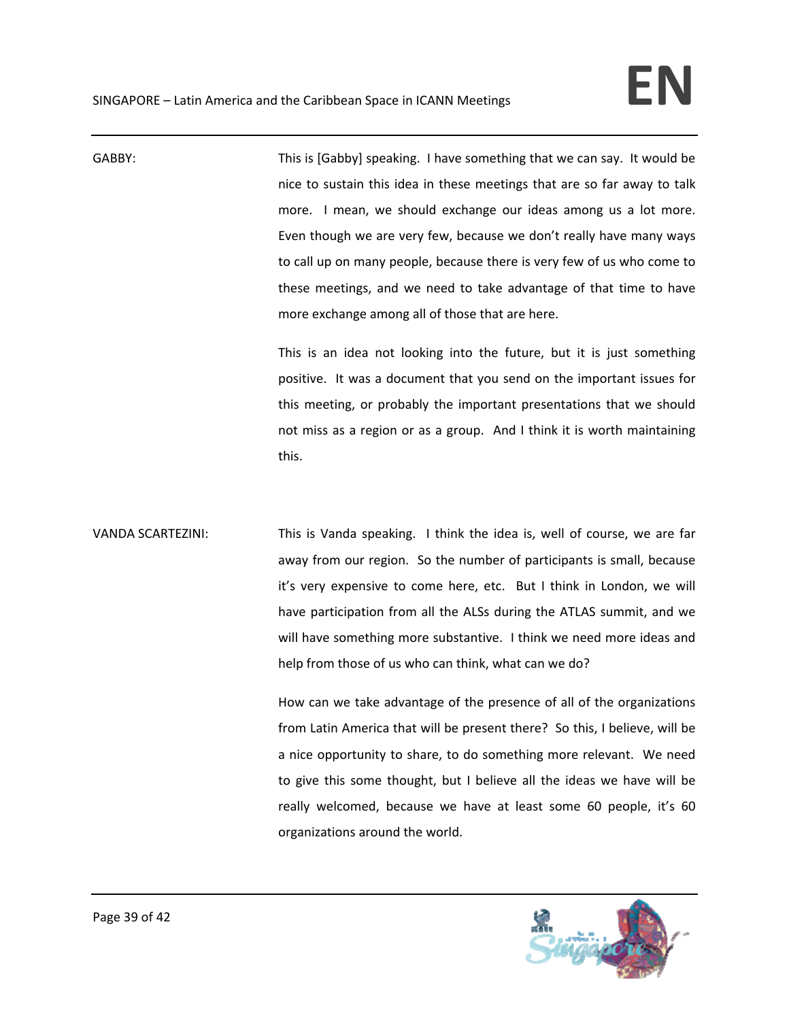GABBY: This is [Gabby] speaking. I have something that we can say. It would be nice to sustain this idea in these meetings that are so far away to talk more. I mean, we should exchange our ideas among us a lot more. Even though we are very few, because we don't really have many ways to call up on many people, because there is very few of us who come to these meetings, and we need to take advantage of that time to have more exchange among all of those that are here.

> This is an idea not looking into the future, but it is just something positive. It was a document that you send on the important issues for this meeting, or probably the important presentations that we should not miss as a region or as a group. And I think it is worth maintaining this.

VANDA SCARTEZINI: This is Vanda speaking. I think the idea is, well of course, we are far away from our region. So the number of participants is small, because it's very expensive to come here, etc. But I think in London, we will have participation from all the ALSs during the ATLAS summit, and we will have something more substantive. I think we need more ideas and help from those of us who can think, what can we do?

> How can we take advantage of the presence of all of the organizations from Latin America that will be present there? So this, I believe, will be a nice opportunity to share, to do something more relevant. We need to give this some thought, but I believe all the ideas we have will be really welcomed, because we have at least some 60 people, it's 60 organizations around the world.

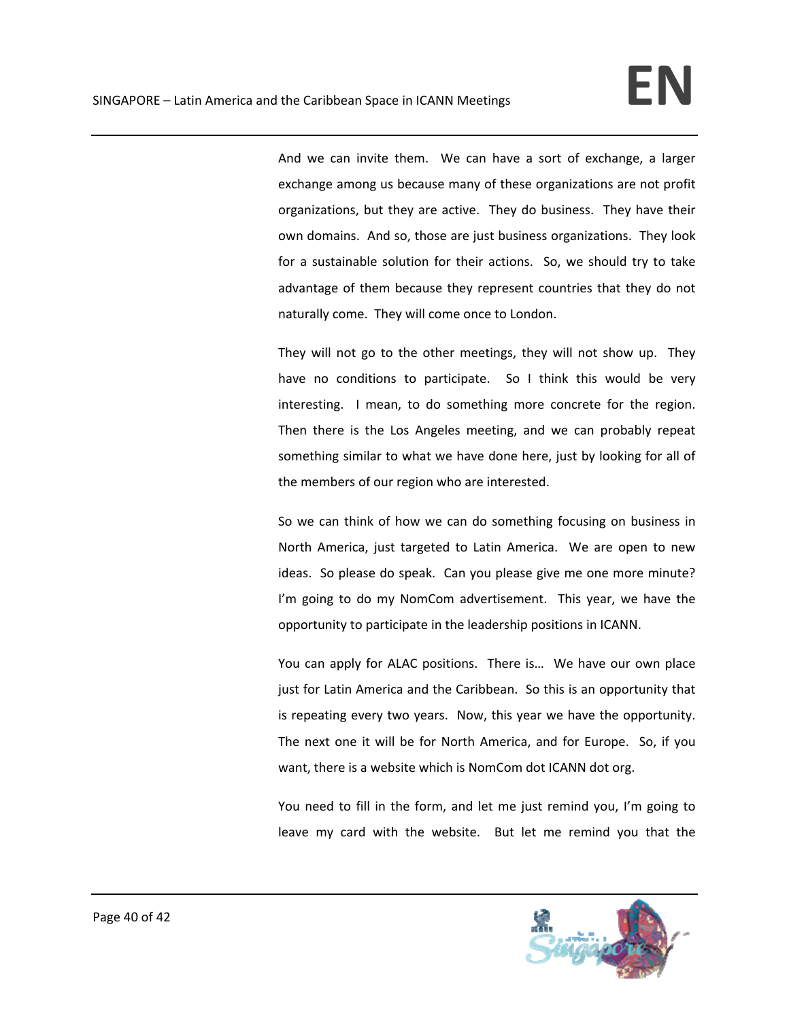And we can invite them. We can have a sort of exchange, a larger exchange among us because many of these organizations are not profit organizations, but they are active. They do business. They have their own domains. And so, those are just business organizations. They look for a sustainable solution for their actions. So, we should try to take advantage of them because they represent countries that they do not naturally come. They will come once to London.

They will not go to the other meetings, they will not show up. They have no conditions to participate. So I think this would be very interesting. I mean, to do something more concrete for the region. Then there is the Los Angeles meeting, and we can probably repeat something similar to what we have done here, just by looking for all of the members of our region who are interested.

So we can think of how we can do something focusing on business in North America, just targeted to Latin America. We are open to new ideas. So please do speak. Can you please give me one more minute? I'm going to do my NomCom advertisement. This year, we have the opportunity to participate in the leadership positions in ICANN.

You can apply for ALAC positions. There is… We have our own place just for Latin America and the Caribbean. So this is an opportunity that is repeating every two years. Now, this year we have the opportunity. The next one it will be for North America, and for Europe. So, if you want, there is a website which is NomCom dot ICANN dot org.

You need to fill in the form, and let me just remind you, I'm going to leave my card with the website. But let me remind you that the

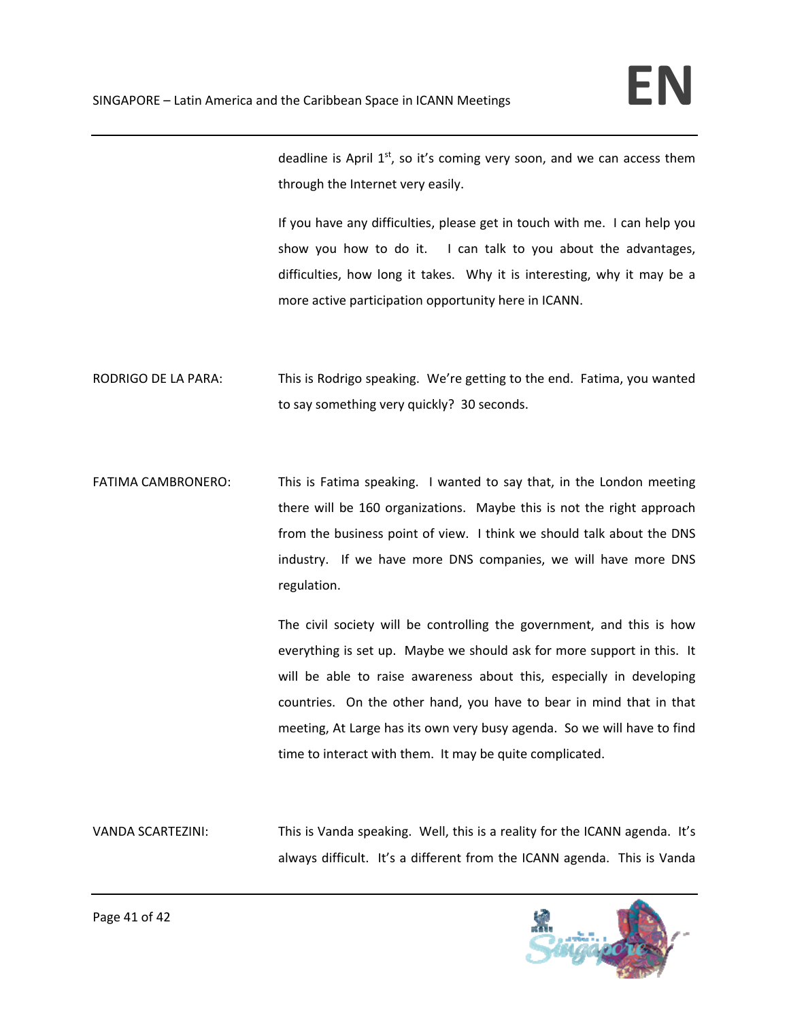deadline is April  $1<sup>st</sup>$ , so it's coming very soon, and we can access them through the Internet very easily.

If you have any difficulties, please get in touch with me. I can help you show you how to do it. I can talk to you about the advantages, difficulties, how long it takes. Why it is interesting, why it may be a more active participation opportunity here in ICANN.

- RODRIGO DE LA PARA: This is Rodrigo speaking. We're getting to the end. Fatima, you wanted to say something very quickly? 30 seconds.
- FATIMA CAMBRONERO: This is Fatima speaking. I wanted to say that, in the London meeting there will be 160 organizations. Maybe this is not the right approach from the business point of view. I think we should talk about the DNS industry. If we have more DNS companies, we will have more DNS regulation.

The civil society will be controlling the government, and this is how everything is set up. Maybe we should ask for more support in this. It will be able to raise awareness about this, especially in developing countries. On the other hand, you have to bear in mind that in that meeting, At Large has its own very busy agenda. So we will have to find time to interact with them. It may be quite complicated.

VANDA SCARTEZINI: This is Vanda speaking. Well, this is a reality for the ICANN agenda. It's always difficult. It's a different from the ICANN agenda. This is Vanda